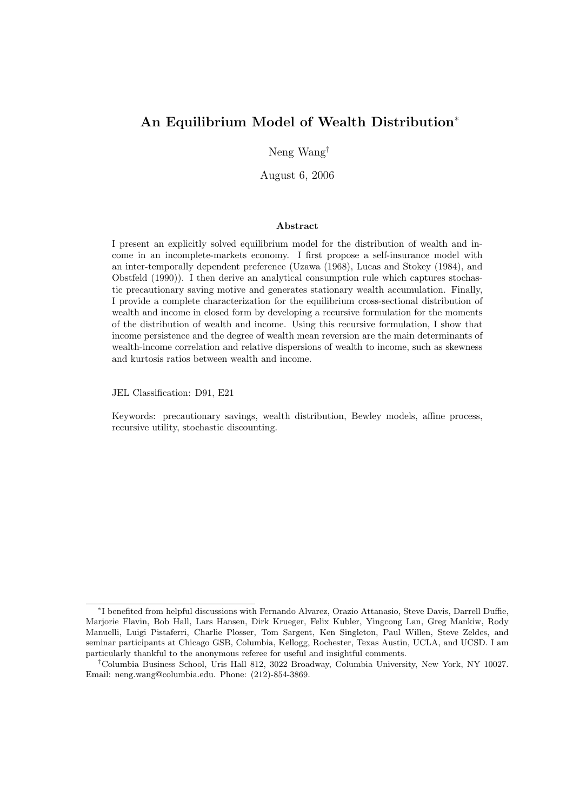# An Equilibrium Model of Wealth Distribution<sup>∗</sup>

Neng Wang†

August 6, 2006

#### Abstract

I present an explicitly solved equilibrium model for the distribution of wealth and income in an incomplete-markets economy. I first propose a self-insurance model with an inter-temporally dependent preference (Uzawa (1968), Lucas and Stokey (1984), and Obstfeld (1990)). I then derive an analytical consumption rule which captures stochastic precautionary saving motive and generates stationary wealth accumulation. Finally, I provide a complete characterization for the equilibrium cross-sectional distribution of wealth and income in closed form by developing a recursive formulation for the moments of the distribution of wealth and income. Using this recursive formulation, I show that income persistence and the degree of wealth mean reversion are the main determinants of wealth-income correlation and relative dispersions of wealth to income, such as skewness and kurtosis ratios between wealth and income.

JEL Classification: D91, E21

Keywords: precautionary savings, wealth distribution, Bewley models, affine process, recursive utility, stochastic discounting.

<sup>∗</sup> I benefited from helpful discussions with Fernando Alvarez, Orazio Attanasio, Steve Davis, Darrell Duffie, Marjorie Flavin, Bob Hall, Lars Hansen, Dirk Krueger, Felix Kubler, Yingcong Lan, Greg Mankiw, Rody Manuelli, Luigi Pistaferri, Charlie Plosser, Tom Sargent, Ken Singleton, Paul Willen, Steve Zeldes, and seminar participants at Chicago GSB, Columbia, Kellogg, Rochester, Texas Austin, UCLA, and UCSD. I am particularly thankful to the anonymous referee for useful and insightful comments.

<sup>†</sup>Columbia Business School, Uris Hall 812, 3022 Broadway, Columbia University, New York, NY 10027. Email: neng.wang@columbia.edu. Phone: (212)-854-3869.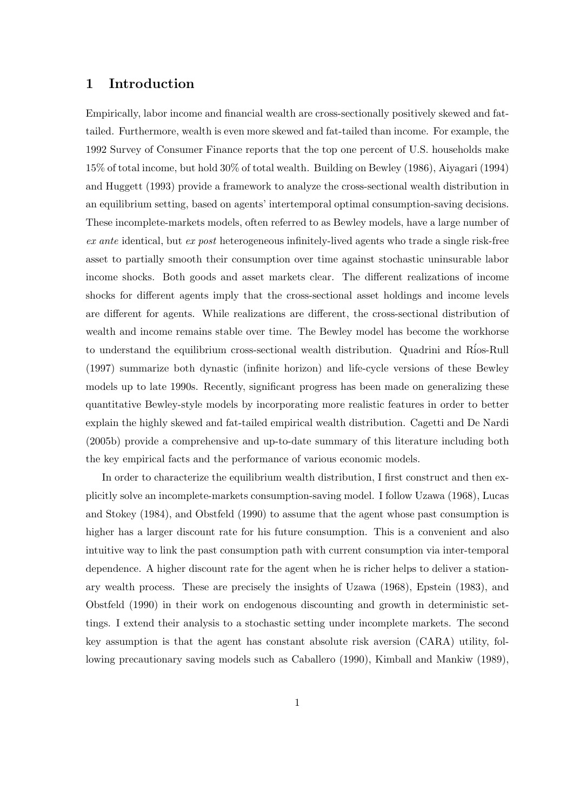### 1 Introduction

Empirically, labor income and financial wealth are cross-sectionally positively skewed and fattailed. Furthermore, wealth is even more skewed and fat-tailed than income. For example, the 1992 Survey of Consumer Finance reports that the top one percent of U.S. households make 15% of total income, but hold 30% of total wealth. Building on Bewley (1986), Aiyagari (1994) and Huggett (1993) provide a framework to analyze the cross-sectional wealth distribution in an equilibrium setting, based on agents' intertemporal optimal consumption-saving decisions. These incomplete-markets models, often referred to as Bewley models, have a large number of ex ante identical, but ex post heterogeneous infinitely-lived agents who trade a single risk-free asset to partially smooth their consumption over time against stochastic uninsurable labor income shocks. Both goods and asset markets clear. The different realizations of income shocks for different agents imply that the cross-sectional asset holdings and income levels are different for agents. While realizations are different, the cross-sectional distribution of wealth and income remains stable over time. The Bewley model has become the workhorse to understand the equilibrium cross-sectional wealth distribution. Quadrini and R´ios-Rull (1997) summarize both dynastic (infinite horizon) and life-cycle versions of these Bewley models up to late 1990s. Recently, significant progress has been made on generalizing these quantitative Bewley-style models by incorporating more realistic features in order to better explain the highly skewed and fat-tailed empirical wealth distribution. Cagetti and De Nardi (2005b) provide a comprehensive and up-to-date summary of this literature including both the key empirical facts and the performance of various economic models.

In order to characterize the equilibrium wealth distribution, I first construct and then explicitly solve an incomplete-markets consumption-saving model. I follow Uzawa (1968), Lucas and Stokey (1984), and Obstfeld (1990) to assume that the agent whose past consumption is higher has a larger discount rate for his future consumption. This is a convenient and also intuitive way to link the past consumption path with current consumption via inter-temporal dependence. A higher discount rate for the agent when he is richer helps to deliver a stationary wealth process. These are precisely the insights of Uzawa (1968), Epstein (1983), and Obstfeld (1990) in their work on endogenous discounting and growth in deterministic settings. I extend their analysis to a stochastic setting under incomplete markets. The second key assumption is that the agent has constant absolute risk aversion (CARA) utility, following precautionary saving models such as Caballero (1990), Kimball and Mankiw (1989),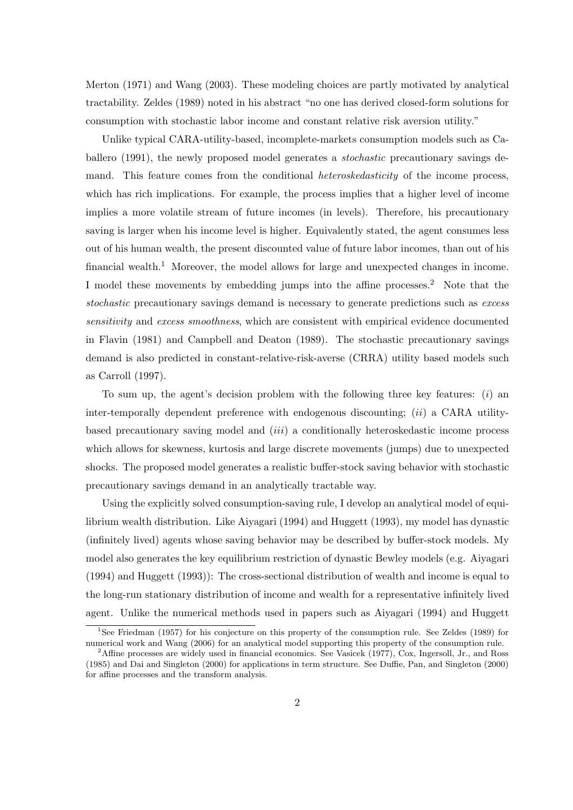Merton (1971) and Wang (2003). These modeling choices are partly motivated by analytical tractability. Zeldes (1989) noted in his abstract "no one has derived closed-form solutions for consumption with stochastic labor income and constant relative risk aversion utility."

Unlike typical CARA-utility-based, incomplete-markets consumption models such as Caballero (1991), the newly proposed model generates a stochastic precautionary savings demand. This feature comes from the conditional *heteroskedasticity* of the income process, which has rich implications. For example, the process implies that a higher level of income implies a more volatile stream of future incomes (in levels). Therefore, his precautionary saving is larger when his income level is higher. Equivalently stated, the agent consumes less out of his human wealth, the present discounted value of future labor incomes, than out of his financial wealth.<sup>1</sup> Moreover, the model allows for large and unexpected changes in income. I model these movements by embedding jumps into the affine processes.<sup>2</sup> Note that the stochastic precautionary savings demand is necessary to generate predictions such as excess sensitivity and excess smoothness, which are consistent with empirical evidence documented in Flavin (1981) and Campbell and Deaton (1989). The stochastic precautionary savings demand is also predicted in constant-relative-risk-averse (CRRA) utility based models such as Carroll (1997).

To sum up, the agent's decision problem with the following three key features:  $(i)$  and inter-temporally dependent preference with endogenous discounting;  $(ii)$  a CARA utilitybased precautionary saving model and (iii) a conditionally heteroskedastic income process which allows for skewness, kurtosis and large discrete movements (jumps) due to unexpected shocks. The proposed model generates a realistic buffer-stock saving behavior with stochastic precautionary savings demand in an analytically tractable way.

Using the explicitly solved consumption-saving rule, I develop an analytical model of equilibrium wealth distribution. Like Aiyagari (1994) and Huggett (1993), my model has dynastic (infinitely lived) agents whose saving behavior may be described by buffer-stock models. My model also generates the key equilibrium restriction of dynastic Bewley models (e.g. Aiyagari (1994) and Huggett (1993)): The cross-sectional distribution of wealth and income is equal to the long-run stationary distribution of income and wealth for a representative infinitely lived agent. Unlike the numerical methods used in papers such as Aiyagari (1994) and Huggett

<sup>&</sup>lt;sup>1</sup>See Friedman (1957) for his conjecture on this property of the consumption rule. See Zeldes (1989) for numerical work and Wang (2006) for an analytical model supporting this property of the consumption rule.

<sup>&</sup>lt;sup>2</sup>Affine processes are widely used in financial economics. See Vasicek (1977), Cox, Ingersoll, Jr., and Ross (1985) and Dai and Singleton (2000) for applications in term structure. See Duffie, Pan, and Singleton (2000) for affine processes and the transform analysis.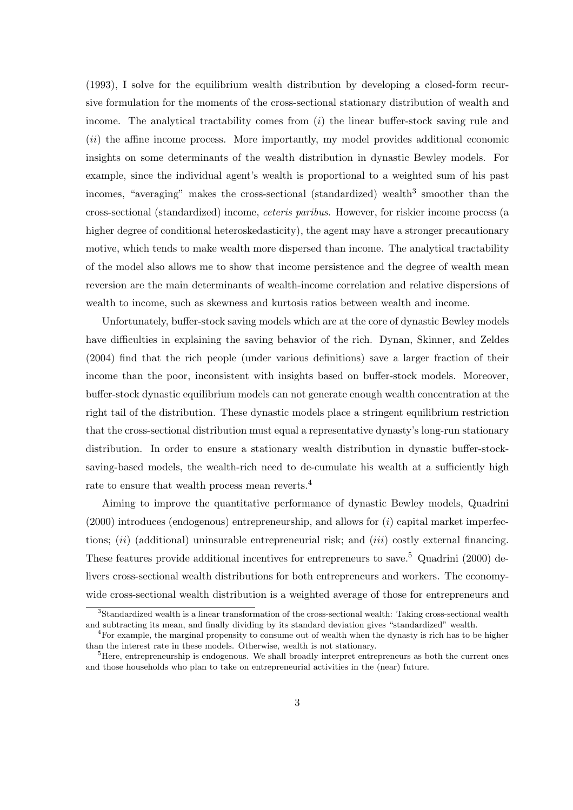(1993), I solve for the equilibrium wealth distribution by developing a closed-form recursive formulation for the moments of the cross-sectional stationary distribution of wealth and income. The analytical tractability comes from  $(i)$  the linear buffer-stock saving rule and (ii) the affine income process. More importantly, my model provides additional economic insights on some determinants of the wealth distribution in dynastic Bewley models. For example, since the individual agent's wealth is proportional to a weighted sum of his past incomes, "averaging" makes the cross-sectional (standardized) wealth<sup>3</sup> smoother than the cross-sectional (standardized) income, ceteris paribus. However, for riskier income process (a higher degree of conditional heteroskedasticity), the agent may have a stronger precautionary motive, which tends to make wealth more dispersed than income. The analytical tractability of the model also allows me to show that income persistence and the degree of wealth mean reversion are the main determinants of wealth-income correlation and relative dispersions of wealth to income, such as skewness and kurtosis ratios between wealth and income.

Unfortunately, buffer-stock saving models which are at the core of dynastic Bewley models have difficulties in explaining the saving behavior of the rich. Dynan, Skinner, and Zeldes (2004) find that the rich people (under various definitions) save a larger fraction of their income than the poor, inconsistent with insights based on buffer-stock models. Moreover, buffer-stock dynastic equilibrium models can not generate enough wealth concentration at the right tail of the distribution. These dynastic models place a stringent equilibrium restriction that the cross-sectional distribution must equal a representative dynasty's long-run stationary distribution. In order to ensure a stationary wealth distribution in dynastic buffer-stocksaving-based models, the wealth-rich need to de-cumulate his wealth at a sufficiently high rate to ensure that wealth process mean reverts.<sup>4</sup>

Aiming to improve the quantitative performance of dynastic Bewley models, Quadrini  $(2000)$  introduces (endogenous) entrepreneurship, and allows for  $(i)$  capital market imperfections;  $(ii)$  (additional) uninsurable entrepreneurial risk; and  $(iii)$  costly external financing. These features provide additional incentives for entrepreneurs to save.<sup>5</sup> Quadrini (2000) delivers cross-sectional wealth distributions for both entrepreneurs and workers. The economywide cross-sectional wealth distribution is a weighted average of those for entrepreneurs and

<sup>&</sup>lt;sup>3</sup>Standardized wealth is a linear transformation of the cross-sectional wealth: Taking cross-sectional wealth and subtracting its mean, and finally dividing by its standard deviation gives "standardized" wealth.

<sup>4</sup>For example, the marginal propensity to consume out of wealth when the dynasty is rich has to be higher than the interest rate in these models. Otherwise, wealth is not stationary.

 $<sup>5</sup>$  Here, entrepreneurship is endogenous. We shall broadly interpret entrepreneurs as both the current ones</sup> and those households who plan to take on entrepreneurial activities in the (near) future.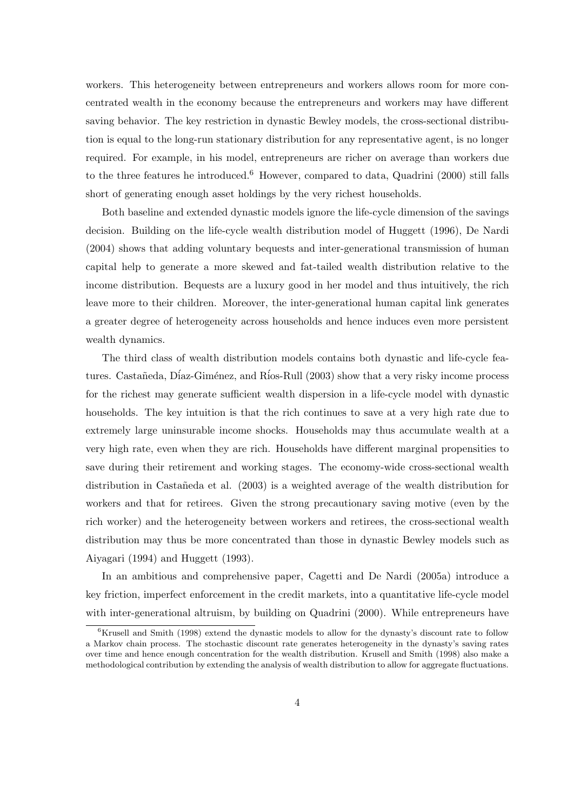workers. This heterogeneity between entrepreneurs and workers allows room for more concentrated wealth in the economy because the entrepreneurs and workers may have different saving behavior. The key restriction in dynastic Bewley models, the cross-sectional distribution is equal to the long-run stationary distribution for any representative agent, is no longer required. For example, in his model, entrepreneurs are richer on average than workers due to the three features he introduced.<sup>6</sup> However, compared to data, Quadrini (2000) still falls short of generating enough asset holdings by the very richest households.

Both baseline and extended dynastic models ignore the life-cycle dimension of the savings decision. Building on the life-cycle wealth distribution model of Huggett (1996), De Nardi (2004) shows that adding voluntary bequests and inter-generational transmission of human capital help to generate a more skewed and fat-tailed wealth distribution relative to the income distribution. Bequests are a luxury good in her model and thus intuitively, the rich leave more to their children. Moreover, the inter-generational human capital link generates a greater degree of heterogeneity across households and hence induces even more persistent wealth dynamics.

The third class of wealth distribution models contains both dynastic and life-cycle features. Castañeda, Díaz-Giménez, and Ríos-Rull (2003) show that a very risky income process for the richest may generate sufficient wealth dispersion in a life-cycle model with dynastic households. The key intuition is that the rich continues to save at a very high rate due to extremely large uninsurable income shocks. Households may thus accumulate wealth at a very high rate, even when they are rich. Households have different marginal propensities to save during their retirement and working stages. The economy-wide cross-sectional wealth distribution in Castañeda et al. (2003) is a weighted average of the wealth distribution for workers and that for retirees. Given the strong precautionary saving motive (even by the rich worker) and the heterogeneity between workers and retirees, the cross-sectional wealth distribution may thus be more concentrated than those in dynastic Bewley models such as Aiyagari (1994) and Huggett (1993).

In an ambitious and comprehensive paper, Cagetti and De Nardi (2005a) introduce a key friction, imperfect enforcement in the credit markets, into a quantitative life-cycle model with inter-generational altruism, by building on Quadrini (2000). While entrepreneurs have

 ${}^{6}$ Krusell and Smith (1998) extend the dynastic models to allow for the dynasty's discount rate to follow a Markov chain process. The stochastic discount rate generates heterogeneity in the dynasty's saving rates over time and hence enough concentration for the wealth distribution. Krusell and Smith (1998) also make a methodological contribution by extending the analysis of wealth distribution to allow for aggregate fluctuations.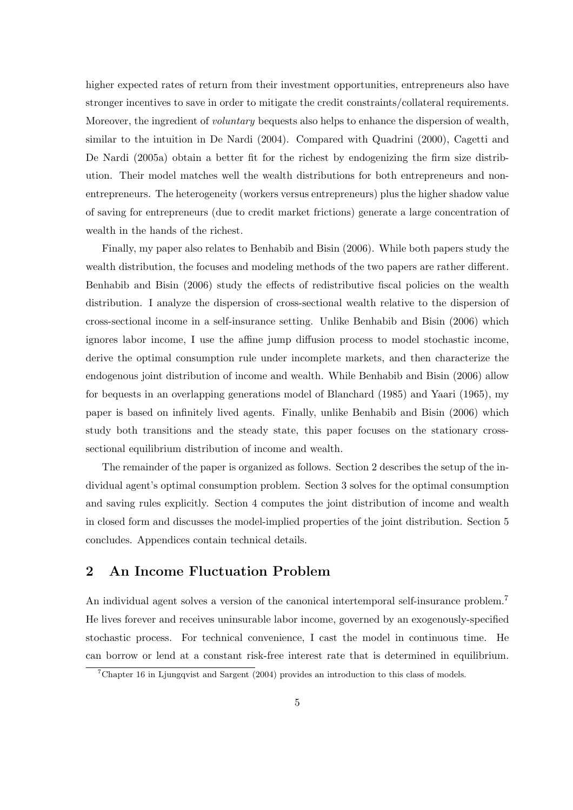higher expected rates of return from their investment opportunities, entrepreneurs also have stronger incentives to save in order to mitigate the credit constraints/collateral requirements. Moreover, the ingredient of *voluntary* bequests also helps to enhance the dispersion of wealth, similar to the intuition in De Nardi (2004). Compared with Quadrini (2000), Cagetti and De Nardi (2005a) obtain a better fit for the richest by endogenizing the firm size distribution. Their model matches well the wealth distributions for both entrepreneurs and nonentrepreneurs. The heterogeneity (workers versus entrepreneurs) plus the higher shadow value of saving for entrepreneurs (due to credit market frictions) generate a large concentration of wealth in the hands of the richest.

Finally, my paper also relates to Benhabib and Bisin (2006). While both papers study the wealth distribution, the focuses and modeling methods of the two papers are rather different. Benhabib and Bisin (2006) study the effects of redistributive fiscal policies on the wealth distribution. I analyze the dispersion of cross-sectional wealth relative to the dispersion of cross-sectional income in a self-insurance setting. Unlike Benhabib and Bisin (2006) which ignores labor income, I use the affine jump diffusion process to model stochastic income, derive the optimal consumption rule under incomplete markets, and then characterize the endogenous joint distribution of income and wealth. While Benhabib and Bisin (2006) allow for bequests in an overlapping generations model of Blanchard (1985) and Yaari (1965), my paper is based on infinitely lived agents. Finally, unlike Benhabib and Bisin (2006) which study both transitions and the steady state, this paper focuses on the stationary crosssectional equilibrium distribution of income and wealth.

The remainder of the paper is organized as follows. Section 2 describes the setup of the individual agent's optimal consumption problem. Section 3 solves for the optimal consumption and saving rules explicitly. Section 4 computes the joint distribution of income and wealth in closed form and discusses the model-implied properties of the joint distribution. Section 5 concludes. Appendices contain technical details.

# 2 An Income Fluctuation Problem

An individual agent solves a version of the canonical intertemporal self-insurance problem.<sup>7</sup> He lives forever and receives uninsurable labor income, governed by an exogenously-specified stochastic process. For technical convenience, I cast the model in continuous time. He can borrow or lend at a constant risk-free interest rate that is determined in equilibrium.

<sup>7</sup>Chapter 16 in Ljungqvist and Sargent (2004) provides an introduction to this class of models.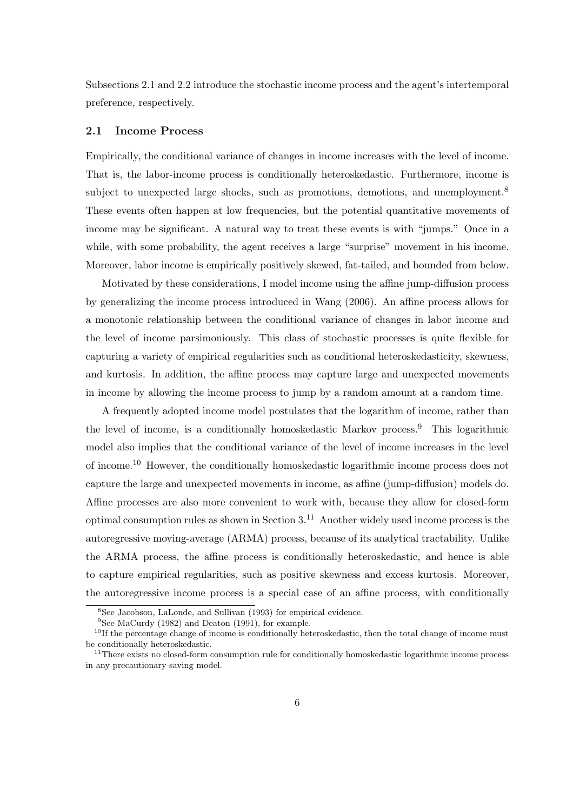Subsections 2.1 and 2.2 introduce the stochastic income process and the agent's intertemporal preference, respectively.

#### 2.1 Income Process

Empirically, the conditional variance of changes in income increases with the level of income. That is, the labor-income process is conditionally heteroskedastic. Furthermore, income is subject to unexpected large shocks, such as promotions, demotions, and unemployment.<sup>8</sup> These events often happen at low frequencies, but the potential quantitative movements of income may be significant. A natural way to treat these events is with "jumps." Once in a while, with some probability, the agent receives a large "surprise" movement in his income. Moreover, labor income is empirically positively skewed, fat-tailed, and bounded from below.

Motivated by these considerations, I model income using the affine jump-diffusion process by generalizing the income process introduced in Wang (2006). An affine process allows for a monotonic relationship between the conditional variance of changes in labor income and the level of income parsimoniously. This class of stochastic processes is quite flexible for capturing a variety of empirical regularities such as conditional heteroskedasticity, skewness, and kurtosis. In addition, the affine process may capture large and unexpected movements in income by allowing the income process to jump by a random amount at a random time.

A frequently adopted income model postulates that the logarithm of income, rather than the level of income, is a conditionally homoskedastic Markov process.<sup>9</sup> This logarithmic model also implies that the conditional variance of the level of income increases in the level of income.<sup>10</sup> However, the conditionally homoskedastic logarithmic income process does not capture the large and unexpected movements in income, as affine (jump-diffusion) models do. Affine processes are also more convenient to work with, because they allow for closed-form optimal consumption rules as shown in Section  $3<sup>11</sup>$  Another widely used income process is the autoregressive moving-average (ARMA) process, because of its analytical tractability. Unlike the ARMA process, the affine process is conditionally heteroskedastic, and hence is able to capture empirical regularities, such as positive skewness and excess kurtosis. Moreover, the autoregressive income process is a special case of an affine process, with conditionally

<sup>8</sup>See Jacobson, LaLonde, and Sullivan (1993) for empirical evidence.

 $9$ See MaCurdy (1982) and Deaton (1991), for example.

 $10$ If the percentage change of income is conditionally heteroskedastic, then the total change of income must be conditionally heteroskedastic.

<sup>&</sup>lt;sup>11</sup>There exists no closed-form consumption rule for conditionally homoskedastic logarithmic income process in any precautionary saving model.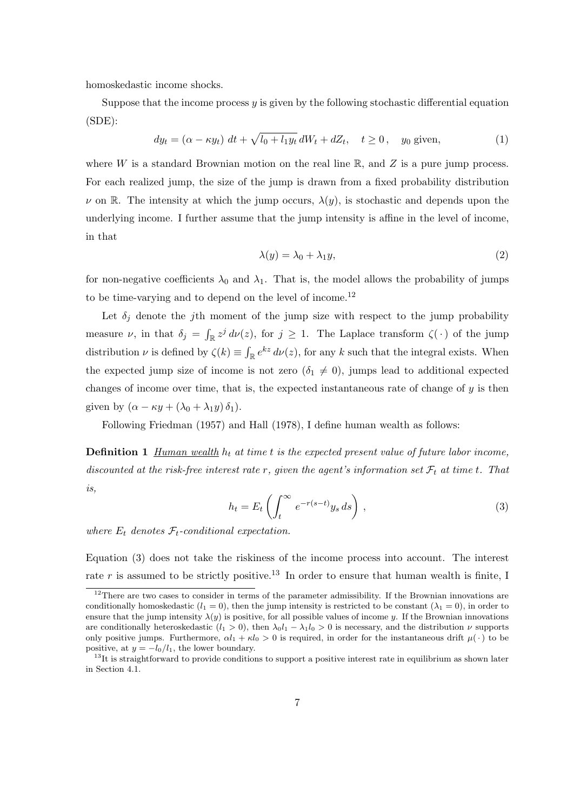homoskedastic income shocks.

Suppose that the income process  $y$  is given by the following stochastic differential equation (SDE):

$$
dy_t = (\alpha - \kappa y_t) dt + \sqrt{l_0 + l_1 y_t} dW_t + dZ_t, \quad t \ge 0, \quad y_0 \text{ given}, \tag{1}
$$

where W is a standard Brownian motion on the real line  $\mathbb{R}$ , and Z is a pure jump process. For each realized jump, the size of the jump is drawn from a fixed probability distribution  $\nu$  on R. The intensity at which the jump occurs,  $\lambda(y)$ , is stochastic and depends upon the underlying income. I further assume that the jump intensity is affine in the level of income, in that

$$
\lambda(y) = \lambda_0 + \lambda_1 y,\tag{2}
$$

for non-negative coefficients  $\lambda_0$  and  $\lambda_1$ . That is, the model allows the probability of jumps to be time-varying and to depend on the level of income.<sup>12</sup>

Let  $\delta_i$  denote the jth moment of the jump size with respect to the jump probability measure  $\nu$ , in that  $\delta_j =$ R  $\sum_{\mathbb{R}} z^j d\nu(z)$ , for  $j \geq 1$ . The Laplace transform  $\zeta(\cdot)$  of the jump distribution  $\nu$  is defined by  $\zeta(k) \equiv$ R  $\int_{\mathbb{R}} e^{kz} d\nu(z)$ , for any k such that the integral exists. When the expected jump size of income is not zero  $(\delta_1 \neq 0)$ , jumps lead to additional expected changes of income over time, that is, the expected instantaneous rate of change of  $y$  is then given by  $(\alpha - \kappa y + (\lambda_0 + \lambda_1 y)\delta_1)$ .

Following Friedman (1957) and Hall (1978), I define human wealth as follows:

**Definition 1** Human wealth  $h_t$  at time t is the expected present value of future labor income, discounted at the risk-free interest rate r, given the agent's information set  $\mathcal{F}_t$  at time t. That is,  $\sqrt{2}$ 

$$
h_t = E_t \left( \int_t^{\infty} e^{-r(s-t)} y_s ds \right), \qquad (3)
$$

where  $E_t$  denotes  $\mathcal{F}_t$ -conditional expectation.

Equation (3) does not take the riskiness of the income process into account. The interest rate r is assumed to be strictly positive.<sup>13</sup> In order to ensure that human wealth is finite, I

<sup>&</sup>lt;sup>12</sup>There are two cases to consider in terms of the parameter admissibility. If the Brownian innovations are conditionally homoskedastic  $(l_1 = 0)$ , then the jump intensity is restricted to be constant  $(\lambda_1 = 0)$ , in order to ensure that the jump intensity  $\lambda(y)$  is positive, for all possible values of income y. If the Brownian innovations are conditionally heteroskedastic  $(l_1 > 0)$ , then  $\lambda_0 l_1 - \lambda_1 l_0 > 0$  is necessary, and the distribution  $\nu$  supports only positive jumps. Furthermore,  $\alpha l_1 + \kappa l_0 > 0$  is required, in order for the instantaneous drift  $\mu(\cdot)$  to be positive, at  $y = -l_0/l_1$ , the lower boundary.

 $13$ It is straightforward to provide conditions to support a positive interest rate in equilibrium as shown later in Section 4.1.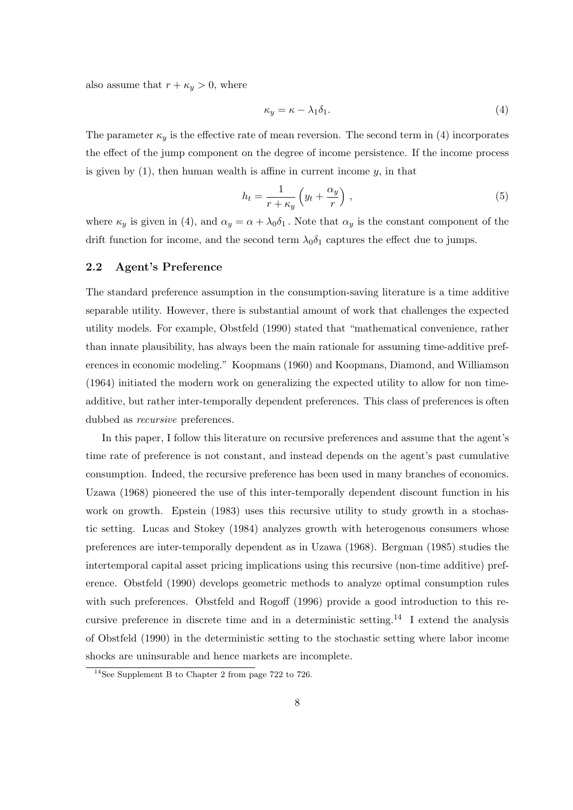also assume that  $r + \kappa_y > 0$ , where

$$
\kappa_y = \kappa - \lambda_1 \delta_1. \tag{4}
$$

The parameter  $\kappa_y$  is the effective rate of mean reversion. The second term in (4) incorporates the effect of the jump component on the degree of income persistence. If the income process is given by  $(1)$ , then human wealth is affine in current income  $y$ , in that

$$
h_t = \frac{1}{r + \kappa_y} \left( y_t + \frac{\alpha_y}{r} \right) , \qquad (5)
$$

where  $\kappa_y$  is given in (4), and  $\alpha_y = \alpha + \lambda_0 \delta_1$ . Note that  $\alpha_y$  is the constant component of the drift function for income, and the second term  $\lambda_0 \delta_1$  captures the effect due to jumps.

#### 2.2 Agent's Preference

The standard preference assumption in the consumption-saving literature is a time additive separable utility. However, there is substantial amount of work that challenges the expected utility models. For example, Obstfeld (1990) stated that "mathematical convenience, rather than innate plausibility, has always been the main rationale for assuming time-additive preferences in economic modeling." Koopmans (1960) and Koopmans, Diamond, and Williamson (1964) initiated the modern work on generalizing the expected utility to allow for non timeadditive, but rather inter-temporally dependent preferences. This class of preferences is often dubbed as *recursive* preferences.

In this paper, I follow this literature on recursive preferences and assume that the agent's time rate of preference is not constant, and instead depends on the agent's past cumulative consumption. Indeed, the recursive preference has been used in many branches of economics. Uzawa (1968) pioneered the use of this inter-temporally dependent discount function in his work on growth. Epstein (1983) uses this recursive utility to study growth in a stochastic setting. Lucas and Stokey (1984) analyzes growth with heterogenous consumers whose preferences are inter-temporally dependent as in Uzawa (1968). Bergman (1985) studies the intertemporal capital asset pricing implications using this recursive (non-time additive) preference. Obstfeld (1990) develops geometric methods to analyze optimal consumption rules with such preferences. Obstfeld and Rogoff (1996) provide a good introduction to this recursive preference in discrete time and in a deterministic setting.<sup>14</sup> I extend the analysis of Obstfeld (1990) in the deterministic setting to the stochastic setting where labor income shocks are uninsurable and hence markets are incomplete.

<sup>14</sup>See Supplement B to Chapter 2 from page 722 to 726.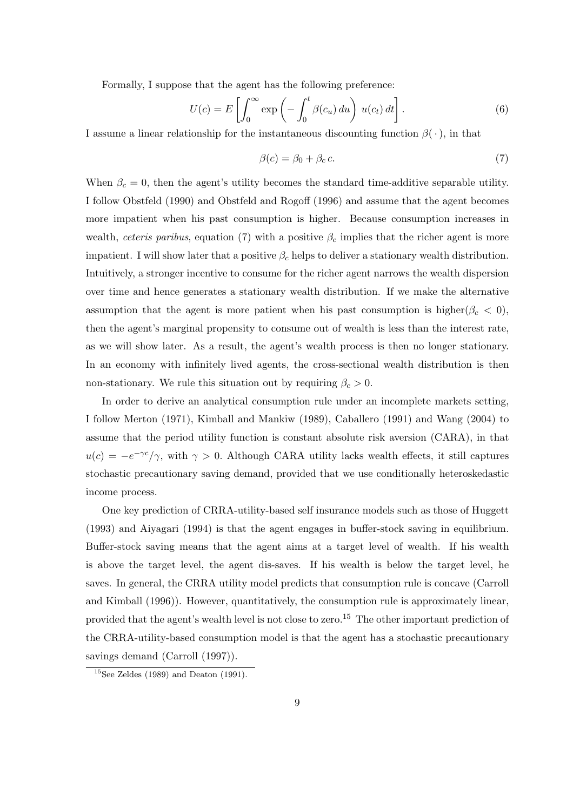Formally, I suppose that the agent has the following preference:

$$
U(c) = E\left[\int_0^\infty \exp\left(-\int_0^t \beta(c_u) \, du\right) u(c_t) \, dt\right].\tag{6}
$$

I assume a linear relationship for the instantaneous discounting function  $\beta(\cdot)$ , in that

$$
\beta(c) = \beta_0 + \beta_c c. \tag{7}
$$

When  $\beta_c = 0$ , then the agent's utility becomes the standard time-additive separable utility. I follow Obstfeld (1990) and Obstfeld and Rogoff (1996) and assume that the agent becomes more impatient when his past consumption is higher. Because consumption increases in wealth, ceteris paribus, equation (7) with a positive  $\beta_c$  implies that the richer agent is more impatient. I will show later that a positive  $\beta_c$  helps to deliver a stationary wealth distribution. Intuitively, a stronger incentive to consume for the richer agent narrows the wealth dispersion over time and hence generates a stationary wealth distribution. If we make the alternative assumption that the agent is more patient when his past consumption is higher( $\beta_c < 0$ ), then the agent's marginal propensity to consume out of wealth is less than the interest rate, as we will show later. As a result, the agent's wealth process is then no longer stationary. In an economy with infinitely lived agents, the cross-sectional wealth distribution is then non-stationary. We rule this situation out by requiring  $\beta_c > 0$ .

In order to derive an analytical consumption rule under an incomplete markets setting, I follow Merton (1971), Kimball and Mankiw (1989), Caballero (1991) and Wang (2004) to assume that the period utility function is constant absolute risk aversion (CARA), in that  $u(c) = -e^{-\gamma c}/\gamma$ , with  $\gamma > 0$ . Although CARA utility lacks wealth effects, it still captures stochastic precautionary saving demand, provided that we use conditionally heteroskedastic income process.

One key prediction of CRRA-utility-based self insurance models such as those of Huggett (1993) and Aiyagari (1994) is that the agent engages in buffer-stock saving in equilibrium. Buffer-stock saving means that the agent aims at a target level of wealth. If his wealth is above the target level, the agent dis-saves. If his wealth is below the target level, he saves. In general, the CRRA utility model predicts that consumption rule is concave (Carroll and Kimball (1996)). However, quantitatively, the consumption rule is approximately linear, provided that the agent's wealth level is not close to zero.<sup>15</sup> The other important prediction of the CRRA-utility-based consumption model is that the agent has a stochastic precautionary savings demand (Carroll (1997)).

 $15$ See Zeldes (1989) and Deaton (1991).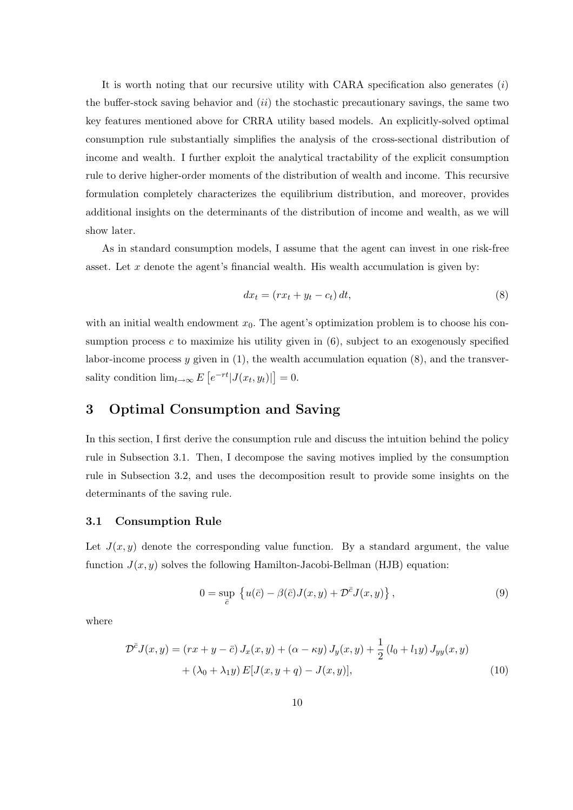It is worth noting that our recursive utility with CARA specification also generates  $(i)$ the buffer-stock saving behavior and  $(ii)$  the stochastic precautionary savings, the same two key features mentioned above for CRRA utility based models. An explicitly-solved optimal consumption rule substantially simplifies the analysis of the cross-sectional distribution of income and wealth. I further exploit the analytical tractability of the explicit consumption rule to derive higher-order moments of the distribution of wealth and income. This recursive formulation completely characterizes the equilibrium distribution, and moreover, provides additional insights on the determinants of the distribution of income and wealth, as we will show later.

As in standard consumption models, I assume that the agent can invest in one risk-free asset. Let  $x$  denote the agent's financial wealth. His wealth accumulation is given by:

$$
dx_t = (rx_t + y_t - c_t) dt,\t\t(8)
$$

with an initial wealth endowment  $x_0$ . The agent's optimization problem is to choose his consumption process  $c$  to maximize his utility given in  $(6)$ , subject to an exogenously specified labor-income process y given in  $(1)$ , the wealth accumulation equation  $(8)$ , and the transversality condition  $\lim_{t\to\infty} E$ £  $\left|e^{-rt}|J(x_t,y_t)|\right|$ ¤  $= 0.$ 

# 3 Optimal Consumption and Saving

In this section, I first derive the consumption rule and discuss the intuition behind the policy rule in Subsection 3.1. Then, I decompose the saving motives implied by the consumption rule in Subsection 3.2, and uses the decomposition result to provide some insights on the determinants of the saving rule.

### 3.1 Consumption Rule

Let  $J(x, y)$  denote the corresponding value function. By a standard argument, the value function  $J(x, y)$  solves the following Hamilton-Jacobi-Bellman (HJB) equation:

$$
0 = \sup_{\bar{c}} \left\{ u(\bar{c}) - \beta(\bar{c})J(x,y) + \mathcal{D}^{\bar{c}}J(x,y) \right\},\tag{9}
$$

where

$$
\mathcal{D}^{\bar{c}}J(x,y) = (rx + y - \bar{c}) J_x(x,y) + (\alpha - \kappa y) J_y(x,y) + \frac{1}{2} (l_0 + l_1 y) J_{yy}(x,y) + (\lambda_0 + \lambda_1 y) E[J(x, y + q) - J(x, y)],
$$
\n(10)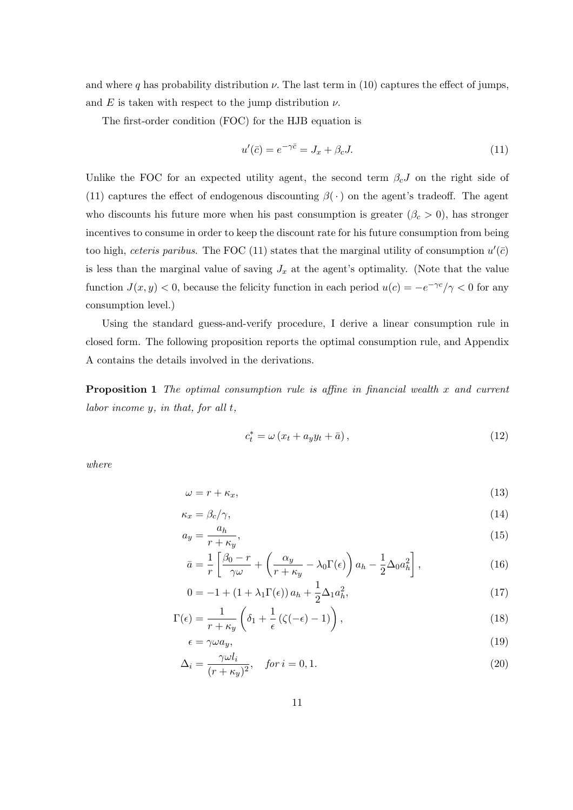and where q has probability distribution  $\nu$ . The last term in (10) captures the effect of jumps, and E is taken with respect to the jump distribution  $\nu$ .

The first-order condition (FOC) for the HJB equation is

$$
u'(\bar{c}) = e^{-\gamma \bar{c}} = J_x + \beta_c J. \tag{11}
$$

Unlike the FOC for an expected utility agent, the second term  $\beta_c J$  on the right side of (11) captures the effect of endogenous discounting  $\beta(\cdot)$  on the agent's tradeoff. The agent who discounts his future more when his past consumption is greater  $(\beta_c > 0)$ , has stronger incentives to consume in order to keep the discount rate for his future consumption from being too high, ceteris paribus. The FOC (11) states that the marginal utility of consumption  $u'(\bar{c})$ is less than the marginal value of saving  $J_x$  at the agent's optimality. (Note that the value function  $J(x, y) < 0$ , because the felicity function in each period  $u(c) = -e^{-\gamma c}/\gamma < 0$  for any consumption level.)

Using the standard guess-and-verify procedure, I derive a linear consumption rule in closed form. The following proposition reports the optimal consumption rule, and Appendix A contains the details involved in the derivations.

**Proposition 1** The optimal consumption rule is affine in financial wealth  $x$  and current labor income y, in that, for all t,

$$
c_t^* = \omega \left( x_t + a_y y_t + \bar{a} \right), \tag{12}
$$

where

$$
\omega = r + \kappa_x,\tag{13}
$$

$$
\kappa_x = \beta_c / \gamma, \tag{14}
$$

$$
a_y = \frac{a_h}{r + \kappa_y},\tag{15}
$$

$$
\bar{a} = \frac{1}{r} \left[ \frac{\beta_0 - r}{\gamma \omega} + \left( \frac{\alpha_y}{r + \kappa_y} - \lambda_0 \Gamma(\epsilon) \right) a_h - \frac{1}{2} \Delta_0 a_h^2 \right],\tag{16}
$$

$$
0 = -1 + (1 + \lambda_1 \Gamma(\epsilon)) a_h + \frac{1}{2} \Delta_1 a_h^2,
$$
\n(17)

$$
\Gamma(\epsilon) = \frac{1}{r + \kappa_y} \left( \delta_1 + \frac{1}{\epsilon} \left( \zeta(-\epsilon) - 1 \right) \right),\tag{18}
$$

$$
\epsilon = \gamma \omega a_y,\tag{19}
$$

$$
\Delta_i = \frac{\gamma \omega l_i}{(r + \kappa_y)^2}, \quad \text{for } i = 0, 1. \tag{20}
$$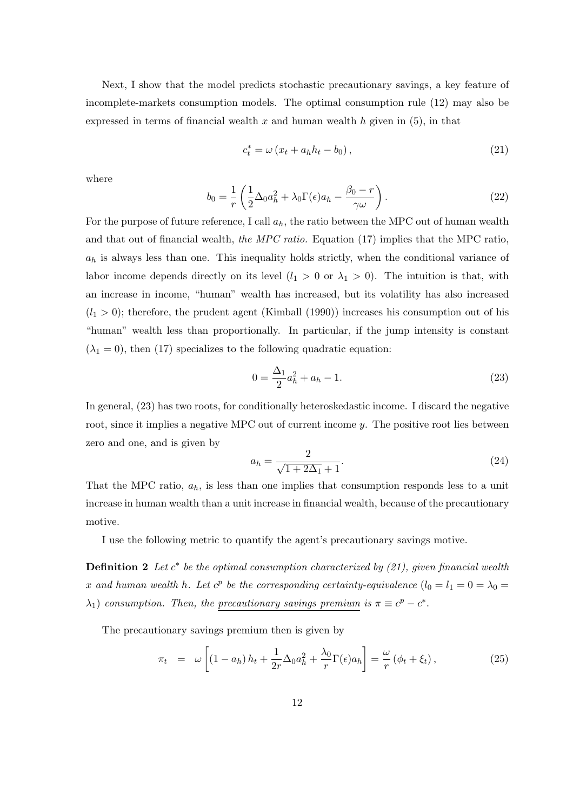Next, I show that the model predicts stochastic precautionary savings, a key feature of incomplete-markets consumption models. The optimal consumption rule (12) may also be expressed in terms of financial wealth x and human wealth  $h$  given in (5), in that

$$
c_t^* = \omega \left( x_t + a_h h_t - b_0 \right), \tag{21}
$$

where

$$
b_0 = \frac{1}{r} \left( \frac{1}{2} \Delta_0 a_h^2 + \lambda_0 \Gamma(\epsilon) a_h - \frac{\beta_0 - r}{\gamma \omega} \right).
$$
 (22)

For the purpose of future reference, I call  $a_h$ , the ratio between the MPC out of human wealth and that out of financial wealth, the MPC ratio. Equation (17) implies that the MPC ratio,  $a_h$  is always less than one. This inequality holds strictly, when the conditional variance of labor income depends directly on its level  $(l_1 > 0 \text{ or } \lambda_1 > 0)$ . The intuition is that, with an increase in income, "human" wealth has increased, but its volatility has also increased  $(l_1 > 0)$ ; therefore, the prudent agent (Kimball (1990)) increases his consumption out of his "human" wealth less than proportionally. In particular, if the jump intensity is constant  $(\lambda_1 = 0)$ , then (17) specializes to the following quadratic equation:

$$
0 = \frac{\Delta_1}{2} a_h^2 + a_h - 1.
$$
\n(23)

In general, (23) has two roots, for conditionally heteroskedastic income. I discard the negative root, since it implies a negative MPC out of current income y. The positive root lies between zero and one, and is given by

$$
a_h = \frac{2}{\sqrt{1 + 2\Delta_1} + 1}.
$$
\n(24)

That the MPC ratio,  $a_h$ , is less than one implies that consumption responds less to a unit increase in human wealth than a unit increase in financial wealth, because of the precautionary motive.

I use the following metric to quantify the agent's precautionary savings motive.

**Definition 2** Let  $c^*$  be the optimal consumption characterized by  $(21)$ , given financial wealth x and human wealth h. Let  $c^p$  be the corresponding certainty-equivalence  $(l_0 = l_1 = 0 = \lambda_0 =$  $\lambda_1$ ) consumption. Then, the precautionary savings premium is  $\pi \equiv c^p - c^*$ .

The precautionary savings premium then is given by

$$
\pi_t = \omega \left[ (1 - a_h) h_t + \frac{1}{2r} \Delta_0 a_h^2 + \frac{\lambda_0}{r} \Gamma(\epsilon) a_h \right] = \frac{\omega}{r} \left( \phi_t + \xi_t \right), \tag{25}
$$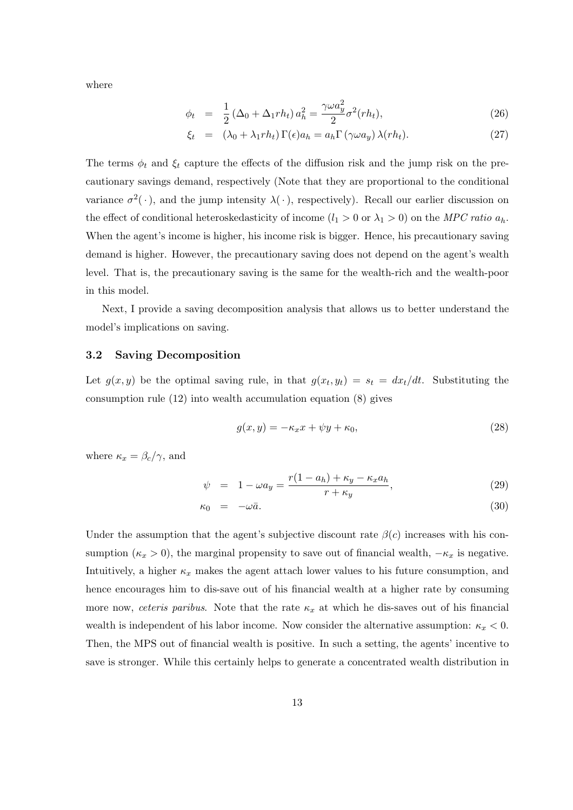where

$$
\phi_t = \frac{1}{2} \left( \Delta_0 + \Delta_1 r h_t \right) a_h^2 = \frac{\gamma \omega a_y^2}{2} \sigma^2(r h_t), \tag{26}
$$

$$
\xi_t = (\lambda_0 + \lambda_1 rh_t) \Gamma(\epsilon) a_h = a_h \Gamma(\gamma \omega a_y) \lambda(r h_t). \tag{27}
$$

The terms  $\phi_t$  and  $\xi_t$  capture the effects of the diffusion risk and the jump risk on the precautionary savings demand, respectively (Note that they are proportional to the conditional variance  $\sigma^2(\cdot)$ , and the jump intensity  $\lambda(\cdot)$ , respectively). Recall our earlier discussion on the effect of conditional heteroskedasticity of income  $(l_1 > 0 \text{ or } \lambda_1 > 0)$  on the MPC ratio  $a_h$ . When the agent's income is higher, his income risk is bigger. Hence, his precautionary saving demand is higher. However, the precautionary saving does not depend on the agent's wealth level. That is, the precautionary saving is the same for the wealth-rich and the wealth-poor in this model.

Next, I provide a saving decomposition analysis that allows us to better understand the model's implications on saving.

### 3.2 Saving Decomposition

Let  $g(x, y)$  be the optimal saving rule, in that  $g(x_t, y_t) = s_t = dx_t/dt$ . Substituting the consumption rule (12) into wealth accumulation equation (8) gives

$$
g(x,y) = -\kappa_x x + \psi y + \kappa_0,\tag{28}
$$

where  $\kappa_x = \beta_c/\gamma$ , and

$$
\psi = 1 - \omega a_y = \frac{r(1 - a_h) + \kappa_y - \kappa_x a_h}{r + \kappa_y},\tag{29}
$$

$$
\kappa_0 = -\omega \bar{a}.\tag{30}
$$

Under the assumption that the agent's subjective discount rate  $\beta(c)$  increases with his consumption ( $\kappa_x > 0$ ), the marginal propensity to save out of financial wealth,  $-\kappa_x$  is negative. Intuitively, a higher  $\kappa_x$  makes the agent attach lower values to his future consumption, and hence encourages him to dis-save out of his financial wealth at a higher rate by consuming more now, ceteris paribus. Note that the rate  $\kappa_x$  at which he dis-saves out of his financial wealth is independent of his labor income. Now consider the alternative assumption:  $\kappa_x < 0$ . Then, the MPS out of financial wealth is positive. In such a setting, the agents' incentive to save is stronger. While this certainly helps to generate a concentrated wealth distribution in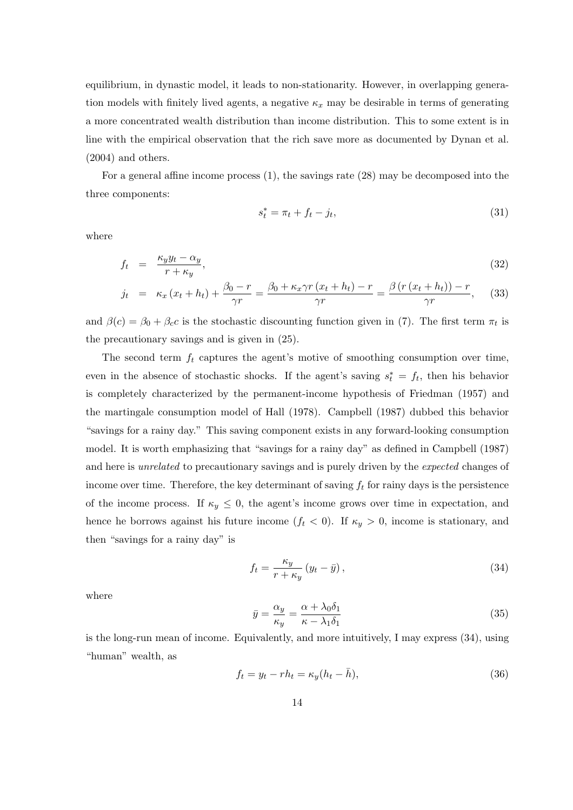equilibrium, in dynastic model, it leads to non-stationarity. However, in overlapping generation models with finitely lived agents, a negative  $\kappa_x$  may be desirable in terms of generating a more concentrated wealth distribution than income distribution. This to some extent is in line with the empirical observation that the rich save more as documented by Dynan et al. (2004) and others.

For a general affine income process (1), the savings rate (28) may be decomposed into the three components:

$$
s_t^* = \pi_t + f_t - j_t,\tag{31}
$$

where

$$
f_t = \frac{\kappa_y y_t - \alpha_y}{r + \kappa_y},\tag{32}
$$

$$
j_t = \kappa_x (x_t + h_t) + \frac{\beta_0 - r}{\gamma r} = \frac{\beta_0 + \kappa_x \gamma r (x_t + h_t) - r}{\gamma r} = \frac{\beta (r (x_t + h_t)) - r}{\gamma r}, \quad (33)
$$

and  $\beta(c) = \beta_0 + \beta_c c$  is the stochastic discounting function given in (7). The first term  $\pi_t$  is the precautionary savings and is given in (25).

The second term  $f_t$  captures the agent's motive of smoothing consumption over time, even in the absence of stochastic shocks. If the agent's saving  $s_t^* = f_t$ , then his behavior is completely characterized by the permanent-income hypothesis of Friedman (1957) and the martingale consumption model of Hall (1978). Campbell (1987) dubbed this behavior "savings for a rainy day." This saving component exists in any forward-looking consumption model. It is worth emphasizing that "savings for a rainy day" as defined in Campbell (1987) and here is *unrelated* to precautionary savings and is purely driven by the *expected* changes of income over time. Therefore, the key determinant of saving  $f_t$  for rainy days is the persistence of the income process. If  $\kappa_y \leq 0$ , the agent's income grows over time in expectation, and hence he borrows against his future income  $(f_t < 0)$ . If  $\kappa_y > 0$ , income is stationary, and then "savings for a rainy day" is

$$
f_t = \frac{\kappa_y}{r + \kappa_y} \left( y_t - \bar{y} \right),\tag{34}
$$

where

$$
\bar{y} = \frac{\alpha_y}{\kappa_y} = \frac{\alpha + \lambda_0 \delta_1}{\kappa - \lambda_1 \delta_1} \tag{35}
$$

is the long-run mean of income. Equivalently, and more intuitively, I may express (34), using "human" wealth, as

$$
f_t = y_t - rh_t = \kappa_y (h_t - \bar{h}), \qquad (36)
$$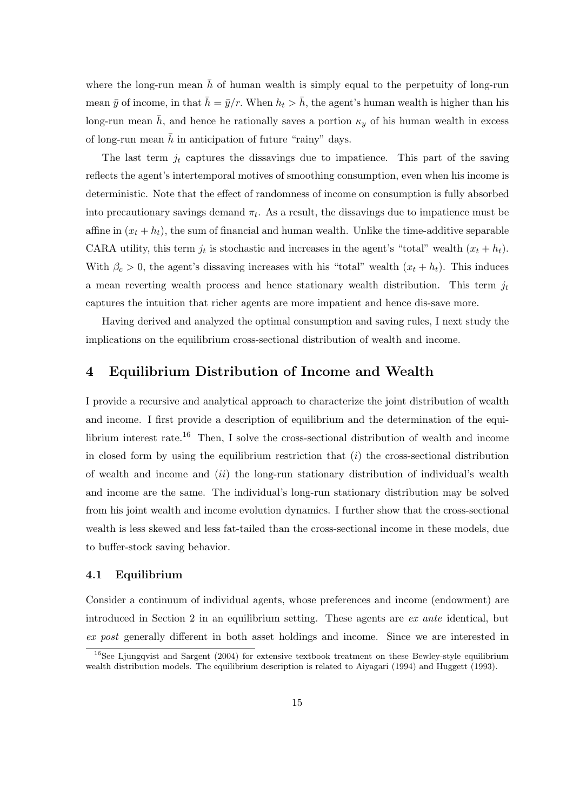where the long-run mean  $\bar{h}$  of human wealth is simply equal to the perpetuity of long-run mean  $\bar{y}$  of income, in that  $\bar{h} = \bar{y}/r$ . When  $h_t > \bar{h}$ , the agent's human wealth is higher than his long-run mean  $\bar{h}$ , and hence he rationally saves a portion  $\kappa_y$  of his human wealth in excess of long-run mean  $\bar{h}$  in anticipation of future "rainy" days.

The last term  $j_t$  captures the dissavings due to impatience. This part of the saving reflects the agent's intertemporal motives of smoothing consumption, even when his income is deterministic. Note that the effect of randomness of income on consumption is fully absorbed into precautionary savings demand  $\pi_t$ . As a result, the dissavings due to impatience must be affine in  $(x_t + h_t)$ , the sum of financial and human wealth. Unlike the time-additive separable CARA utility, this term  $j_t$  is stochastic and increases in the agent's "total" wealth  $(x_t + h_t)$ . With  $\beta_c > 0$ , the agent's dissaving increases with his "total" wealth  $(x_t + h_t)$ . This induces a mean reverting wealth process and hence stationary wealth distribution. This term  $j_t$ captures the intuition that richer agents are more impatient and hence dis-save more.

Having derived and analyzed the optimal consumption and saving rules, I next study the implications on the equilibrium cross-sectional distribution of wealth and income.

### 4 Equilibrium Distribution of Income and Wealth

I provide a recursive and analytical approach to characterize the joint distribution of wealth and income. I first provide a description of equilibrium and the determination of the equilibrium interest rate.<sup>16</sup> Then, I solve the cross-sectional distribution of wealth and income in closed form by using the equilibrium restriction that  $(i)$  the cross-sectional distribution of wealth and income and  $(ii)$  the long-run stationary distribution of individual's wealth and income are the same. The individual's long-run stationary distribution may be solved from his joint wealth and income evolution dynamics. I further show that the cross-sectional wealth is less skewed and less fat-tailed than the cross-sectional income in these models, due to buffer-stock saving behavior.

### 4.1 Equilibrium

Consider a continuum of individual agents, whose preferences and income (endowment) are introduced in Section 2 in an equilibrium setting. These agents are ex ante identical, but ex post generally different in both asset holdings and income. Since we are interested in

 $16$ See Ljungqvist and Sargent (2004) for extensive textbook treatment on these Bewley-style equilibrium wealth distribution models. The equilibrium description is related to Aiyagari (1994) and Huggett (1993).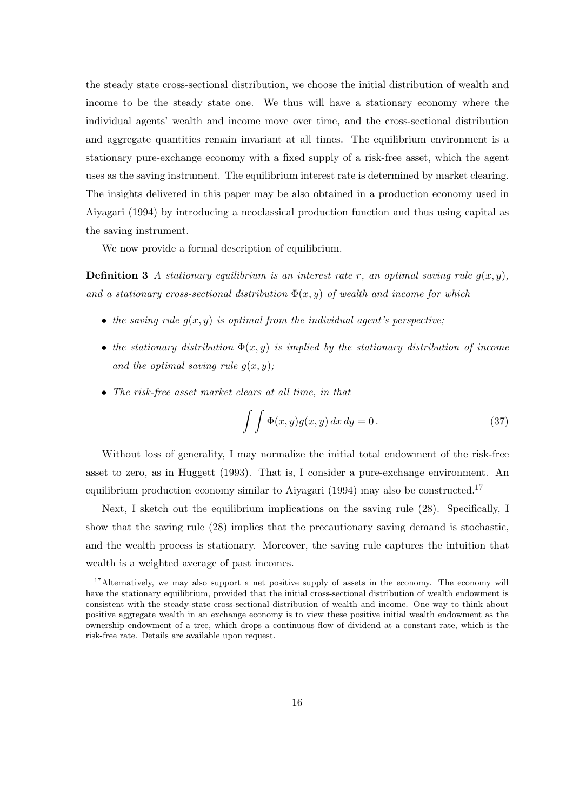the steady state cross-sectional distribution, we choose the initial distribution of wealth and income to be the steady state one. We thus will have a stationary economy where the individual agents' wealth and income move over time, and the cross-sectional distribution and aggregate quantities remain invariant at all times. The equilibrium environment is a stationary pure-exchange economy with a fixed supply of a risk-free asset, which the agent uses as the saving instrument. The equilibrium interest rate is determined by market clearing. The insights delivered in this paper may be also obtained in a production economy used in Aiyagari (1994) by introducing a neoclassical production function and thus using capital as the saving instrument.

We now provide a formal description of equilibrium.

**Definition 3** A stationary equilibrium is an interest rate r, an optimal saving rule  $q(x, y)$ , and a stationary cross-sectional distribution  $\Phi(x, y)$  of wealth and income for which

- the saving rule  $g(x, y)$  is optimal from the individual agent's perspective;
- the stationary distribution  $\Phi(x, y)$  is implied by the stationary distribution of income and the optimal saving rule  $g(x, y)$ ;
- The risk-free asset market clears at all time, in that

$$
\int \int \Phi(x, y) g(x, y) dx dy = 0.
$$
 (37)

Without loss of generality, I may normalize the initial total endowment of the risk-free asset to zero, as in Huggett (1993). That is, I consider a pure-exchange environment. An equilibrium production economy similar to Aiyagari (1994) may also be constructed.<sup>17</sup>

Next, I sketch out the equilibrium implications on the saving rule (28). Specifically, I show that the saving rule (28) implies that the precautionary saving demand is stochastic, and the wealth process is stationary. Moreover, the saving rule captures the intuition that wealth is a weighted average of past incomes.

 $17$ Alternatively, we may also support a net positive supply of assets in the economy. The economy will have the stationary equilibrium, provided that the initial cross-sectional distribution of wealth endowment is consistent with the steady-state cross-sectional distribution of wealth and income. One way to think about positive aggregate wealth in an exchange economy is to view these positive initial wealth endowment as the ownership endowment of a tree, which drops a continuous flow of dividend at a constant rate, which is the risk-free rate. Details are available upon request.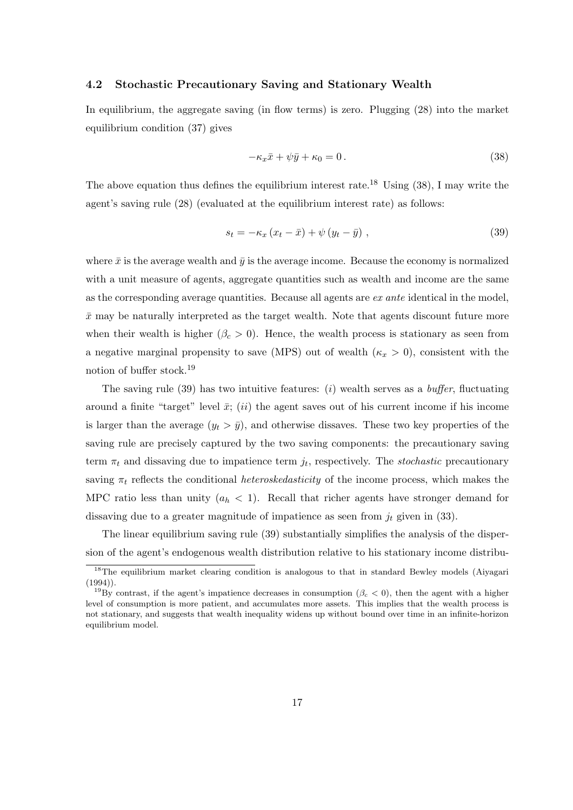#### 4.2 Stochastic Precautionary Saving and Stationary Wealth

In equilibrium, the aggregate saving (in flow terms) is zero. Plugging (28) into the market equilibrium condition (37) gives

$$
-\kappa_x \bar{x} + \psi \bar{y} + \kappa_0 = 0. \tag{38}
$$

The above equation thus defines the equilibrium interest rate.<sup>18</sup> Using  $(38)$ , I may write the agent's saving rule (28) (evaluated at the equilibrium interest rate) as follows:

$$
s_t = -\kappa_x \left( x_t - \bar{x} \right) + \psi \left( y_t - \bar{y} \right) \,, \tag{39}
$$

where  $\bar{x}$  is the average wealth and  $\bar{y}$  is the average income. Because the economy is normalized with a unit measure of agents, aggregate quantities such as wealth and income are the same as the corresponding average quantities. Because all agents are ex ante identical in the model,  $\bar{x}$  may be naturally interpreted as the target wealth. Note that agents discount future more when their wealth is higher ( $\beta_c > 0$ ). Hence, the wealth process is stationary as seen from a negative marginal propensity to save (MPS) out of wealth  $(\kappa_x > 0)$ , consistent with the notion of buffer stock.<sup>19</sup>

The saving rule (39) has two intuitive features: (i) wealth serves as a *buffer*, fluctuating around a finite "target" level  $\bar{x}$ ; (ii) the agent saves out of his current income if his income is larger than the average  $(y_t > \bar{y})$ , and otherwise dissaves. These two key properties of the saving rule are precisely captured by the two saving components: the precautionary saving term  $\pi_t$  and dissaving due to impatience term  $j_t$ , respectively. The *stochastic* precautionary saving  $\pi_t$  reflects the conditional *heteroskedasticity* of the income process, which makes the MPC ratio less than unity  $(a_h < 1)$ . Recall that richer agents have stronger demand for dissaving due to a greater magnitude of impatience as seen from  $j_t$  given in (33).

The linear equilibrium saving rule (39) substantially simplifies the analysis of the dispersion of the agent's endogenous wealth distribution relative to his stationary income distribu-

<sup>&</sup>lt;sup>18</sup>The equilibrium market clearing condition is analogous to that in standard Bewley models (Aiyagari (1994)).

<sup>&</sup>lt;sup>19</sup>By contrast, if the agent's impatience decreases in consumption ( $\beta_c < 0$ ), then the agent with a higher level of consumption is more patient, and accumulates more assets. This implies that the wealth process is not stationary, and suggests that wealth inequality widens up without bound over time in an infinite-horizon equilibrium model.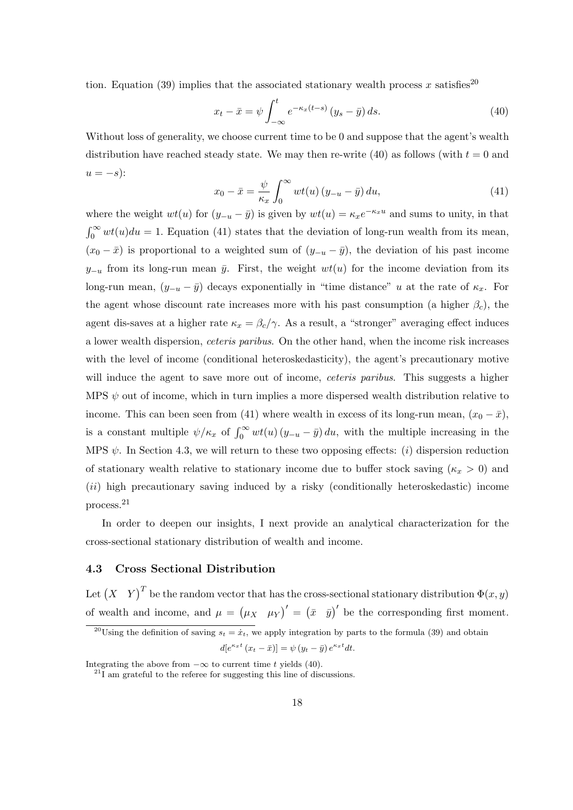tion. Equation (39) implies that the associated stationary wealth process x satisfies<sup>20</sup>

$$
x_t - \bar{x} = \psi \int_{-\infty}^t e^{-\kappa_x (t-s)} (y_s - \bar{y}) ds.
$$
 (40)

Without loss of generality, we choose current time to be 0 and suppose that the agent's wealth distribution have reached steady state. We may then re-write (40) as follows (with  $t = 0$  and  $u = -s$ :  $r^{\infty}$ 

$$
x_0 - \bar{x} = \frac{\psi}{\kappa_x} \int_0^\infty wt(u) (y_{-u} - \bar{y}) du,
$$
\n(41)

where the weight  $wt(u)$  for  $(y_{-u} - \bar{y})$  is given by  $wt(u) = \kappa_x e^{-\kappa_x u}$  and sums to unity, in that  $r^{\infty}$  $0^{\infty}$  wt(u)du = 1. Equation (41) states that the deviation of long-run wealth from its mean,  $(x_0 - \bar{x})$  is proportional to a weighted sum of  $(y_{-u} - \bar{y})$ , the deviation of his past income  $y_{-u}$  from its long-run mean  $\bar{y}$ . First, the weight  $wt(u)$  for the income deviation from its long-run mean,  $(y_{-u} - \bar{y})$  decays exponentially in "time distance" u at the rate of  $\kappa_x$ . For the agent whose discount rate increases more with his past consumption (a higher  $\beta_c$ ), the agent dis-saves at a higher rate  $\kappa_x = \beta_c/\gamma$ . As a result, a "stronger" averaging effect induces a lower wealth dispersion, ceteris paribus. On the other hand, when the income risk increases with the level of income (conditional heteroskedasticity), the agent's precautionary motive will induce the agent to save more out of income, *ceteris paribus*. This suggests a higher MPS  $\psi$  out of income, which in turn implies a more dispersed wealth distribution relative to income. This can been seen from (41) where wealth in excess of its long-run mean,  $(x_0 - \bar{x})$ , is a constant multiple  $\psi/\kappa_x$  of  $\int_0^\infty wt(u) (y_{-u} - \bar{y}) du$ , with the multiple increasing in the MPS  $\psi$ . In Section 4.3, we will return to these two opposing effects: (i) dispersion reduction of stationary wealth relative to stationary income due to buffer stock saving ( $\kappa_x > 0$ ) and (ii) high precautionary saving induced by a risky (conditionally heteroskedastic) income process.<sup>21</sup>

In order to deepen our insights, I next provide an analytical characterization for the cross-sectional stationary distribution of wealth and income.

### 4.3 Cross Sectional Distribution

Let  $(X \ Y)^T$  be the random vector that has the cross-sectional stationary distribution  $\Phi(x, y)$ of wealth and income, and  $\mu =$ ¡  $\mu_X$   $\mu_Y$ <sup>'</sup> = (  $\bar{x}$   $\bar{y}$  be the corresponding first moment.

$$
d[e^{\kappa_x t} (x_t - \bar{x})] = \psi (y_t - \bar{y}) e^{\kappa_x t} dt.
$$

<sup>&</sup>lt;sup>20</sup>Using the definition of saving  $s_t = \dot{x}_t$ , we apply integration by parts to the formula (39) and obtain

Integrating the above from  $-\infty$  to current time t yields (40).

 $^{21}$ I am grateful to the referee for suggesting this line of discussions.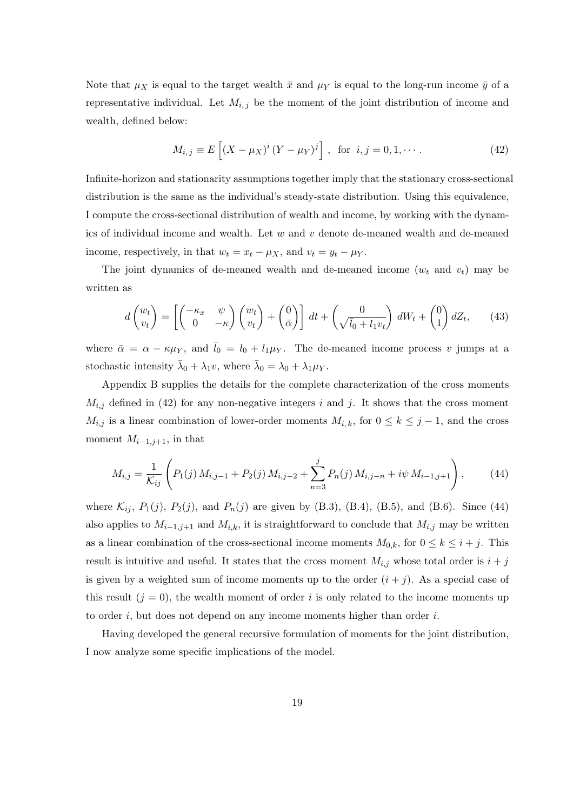Note that  $\mu_X$  is equal to the target wealth  $\bar{x}$  and  $\mu_Y$  is equal to the long-run income  $\bar{y}$  of a representative individual. Let  $M_{i,j}$  be the moment of the joint distribution of income and wealth, defined below:

$$
M_{i,j} \equiv E\left[ (X - \mu_X)^i (Y - \mu_Y)^j \right], \text{ for } i, j = 0, 1, \cdots.
$$
 (42)

Infinite-horizon and stationarity assumptions together imply that the stationary cross-sectional distribution is the same as the individual's steady-state distribution. Using this equivalence, I compute the cross-sectional distribution of wealth and income, by working with the dynamics of individual income and wealth. Let  $w$  and  $v$  denote de-meaned wealth and de-meaned income, respectively, in that  $w_t = x_t - \mu_X$ , and  $v_t = y_t - \mu_Y$ .

The joint dynamics of de-meaned wealth and de-meaned income  $(w_t \text{ and } v_t)$  may be written as

$$
d\begin{pmatrix} w_t \\ v_t \end{pmatrix} = \left[ \begin{pmatrix} -\kappa_x & \psi \\ 0 & -\kappa \end{pmatrix} \begin{pmatrix} w_t \\ v_t \end{pmatrix} + \begin{pmatrix} 0 \\ \bar{\alpha} \end{pmatrix} \right] dt + \begin{pmatrix} 0 \\ \sqrt{l_0 + l_1 v_t} \end{pmatrix} dW_t + \begin{pmatrix} 0 \\ 1 \end{pmatrix} dZ_t, \qquad (43)
$$

where  $\bar{\alpha} = \alpha - \kappa \mu_Y$ , and  $\bar{l}_0 = l_0 + l_1 \mu_Y$ . The de-meaned income process v jumps at a stochastic intensity  $\bar{\lambda}_0 + \lambda_1 v$ , where  $\bar{\lambda}_0 = \lambda_0 + \lambda_1 \mu_Y$ .

Appendix B supplies the details for the complete characterization of the cross moments  $M_{i,j}$  defined in (42) for any non-negative integers i and j. It shows that the cross moment  $M_{i,j}$  is a linear combination of lower-order moments  $M_{i,k}$ , for  $0 \leq k \leq j-1$ , and the cross moment  $M_{i-1,j+1}$ , in that

$$
M_{i,j} = \frac{1}{\mathcal{K}_{ij}} \left( P_1(j) M_{i,j-1} + P_2(j) M_{i,j-2} + \sum_{n=3}^j P_n(j) M_{i,j-n} + i\psi M_{i-1,j+1} \right), \tag{44}
$$

where  $\mathcal{K}_{ij}$ ,  $P_1(j)$ ,  $P_2(j)$ , and  $P_n(j)$  are given by (B.3), (B.4), (B.5), and (B.6). Since (44) also applies to  $M_{i-1,j+1}$  and  $M_{i,k}$ , it is straightforward to conclude that  $M_{i,j}$  may be written as a linear combination of the cross-sectional income moments  $M_{0,k}$ , for  $0 \leq k \leq i+j$ . This result is intuitive and useful. It states that the cross moment  $M_{i,j}$  whose total order is  $i + j$ is given by a weighted sum of income moments up to the order  $(i + j)$ . As a special case of this result  $(j = 0)$ , the wealth moment of order i is only related to the income moments up to order  $i$ , but does not depend on any income moments higher than order  $i$ .

Having developed the general recursive formulation of moments for the joint distribution, I now analyze some specific implications of the model.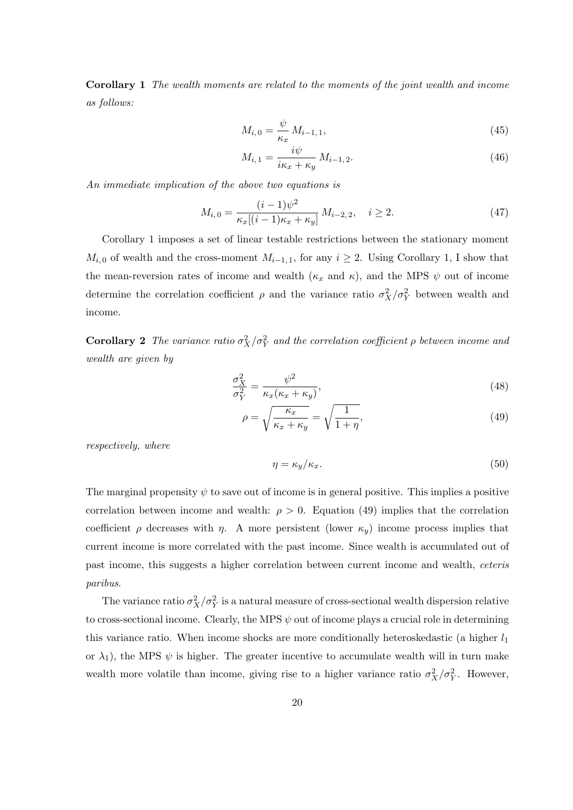Corollary 1 The wealth moments are related to the moments of the joint wealth and income as follows:

$$
M_{i,0} = \frac{\psi}{\kappa_x} M_{i-1,1},
$$
\n(45)

$$
M_{i,1} = \frac{i\psi}{i\kappa_x + \kappa_y} M_{i-1,2}.
$$
\n
$$
(46)
$$

An immediate implication of the above two equations is

$$
M_{i,0} = \frac{(i-1)\psi^2}{\kappa_x[(i-1)\kappa_x + \kappa_y]} M_{i-2,2}, \quad i \ge 2.
$$
 (47)

Corollary 1 imposes a set of linear testable restrictions between the stationary moment  $M_{i,0}$  of wealth and the cross-moment  $M_{i-1,1}$ , for any  $i \geq 2$ . Using Corollary 1, I show that the mean-reversion rates of income and wealth  $(\kappa_x$  and  $\kappa)$ , and the MPS  $\psi$  out of income determine the correlation coefficient  $\rho$  and the variance ratio  $\sigma_X^2/\sigma_Y^2$  between wealth and income.

**Corollary 2** The variance ratio  $\sigma_X^2/\sigma_Y^2$  and the correlation coefficient  $\rho$  between income and wealth are given by

$$
\frac{\sigma_X^2}{\sigma_Y^2} = \frac{\psi^2}{\kappa_x(\kappa_x + \kappa_y)},\tag{48}
$$

$$
\rho = \sqrt{\frac{\kappa_x}{\kappa_x + \kappa_y}} = \sqrt{\frac{1}{1 + \eta}},\tag{49}
$$

respectively, where

$$
\eta = \kappa_y / \kappa_x. \tag{50}
$$

The marginal propensity  $\psi$  to save out of income is in general positive. This implies a positive correlation between income and wealth:  $\rho > 0$ . Equation (49) implies that the correlation coefficient  $\rho$  decreases with  $\eta$ . A more persistent (lower  $\kappa_y$ ) income process implies that current income is more correlated with the past income. Since wealth is accumulated out of past income, this suggests a higher correlation between current income and wealth, ceteris paribus.

The variance ratio  $\sigma_X^2/\sigma_Y^2$  is a natural measure of cross-sectional wealth dispersion relative to cross-sectional income. Clearly, the MPS  $\psi$  out of income plays a crucial role in determining this variance ratio. When income shocks are more conditionally heteroskedastic (a higher  $l_1$ or  $\lambda_1$ ), the MPS  $\psi$  is higher. The greater incentive to accumulate wealth will in turn make wealth more volatile than income, giving rise to a higher variance ratio  $\sigma_X^2/\sigma_Y^2$ . However,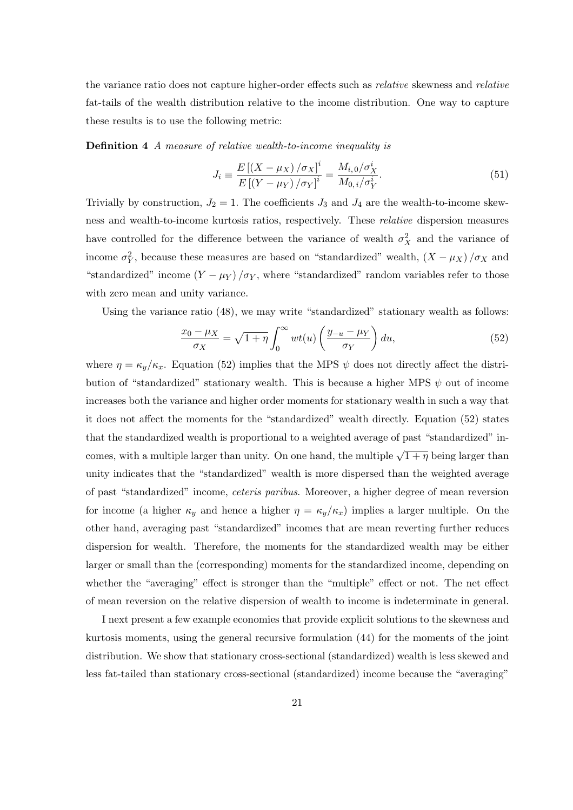the variance ratio does not capture higher-order effects such as *relative* skewness and *relative* fat-tails of the wealth distribution relative to the income distribution. One way to capture these results is to use the following metric:

Definition 4 A measure of relative wealth-to-income inequality is

$$
J_i \equiv \frac{E\left[ (X - \mu_X) / \sigma_X \right]^i}{E\left[ (Y - \mu_Y) / \sigma_Y \right]^i} = \frac{M_{i,0} / \sigma_X^i}{M_{0,i} / \sigma_Y^i}.
$$
\n(51)

Trivially by construction,  $J_2 = 1$ . The coefficients  $J_3$  and  $J_4$  are the wealth-to-income skewness and wealth-to-income kurtosis ratios, respectively. These relative dispersion measures have controlled for the difference between the variance of wealth  $\sigma_X^2$  and the variance of income  $\sigma_Y^2$ , because these measures are based on "standardized" wealth,  $(X - \mu_X)/\sigma_X$  and "standardized" income  $(Y - \mu_Y)/\sigma_Y$ , where "standardized" random variables refer to those with zero mean and unity variance.

Using the variance ratio (48), we may write "standardized" stationary wealth as follows:

$$
\frac{x_0 - \mu_X}{\sigma_X} = \sqrt{1 + \eta} \int_0^\infty wt(u) \left( \frac{y_{-u} - \mu_Y}{\sigma_Y} \right) du,\tag{52}
$$

where  $\eta = \kappa_y/\kappa_x$ . Equation (52) implies that the MPS  $\psi$  does not directly affect the distribution of "standardized" stationary wealth. This is because a higher MPS  $\psi$  out of income increases both the variance and higher order moments for stationary wealth in such a way that it does not affect the moments for the "standardized" wealth directly. Equation (52) states that the standardized wealth is proportional to a weighted average of past "standardized" incomes, with a multiple larger than unity. On one hand, the multiple  $\sqrt{1+\eta}$  being larger than unity indicates that the "standardized" wealth is more dispersed than the weighted average of past "standardized" income, ceteris paribus. Moreover, a higher degree of mean reversion for income (a higher  $\kappa_y$  and hence a higher  $\eta = \kappa_y/\kappa_x$ ) implies a larger multiple. On the other hand, averaging past "standardized" incomes that are mean reverting further reduces dispersion for wealth. Therefore, the moments for the standardized wealth may be either larger or small than the (corresponding) moments for the standardized income, depending on whether the "averaging" effect is stronger than the "multiple" effect or not. The net effect of mean reversion on the relative dispersion of wealth to income is indeterminate in general.

I next present a few example economies that provide explicit solutions to the skewness and kurtosis moments, using the general recursive formulation (44) for the moments of the joint distribution. We show that stationary cross-sectional (standardized) wealth is less skewed and less fat-tailed than stationary cross-sectional (standardized) income because the "averaging"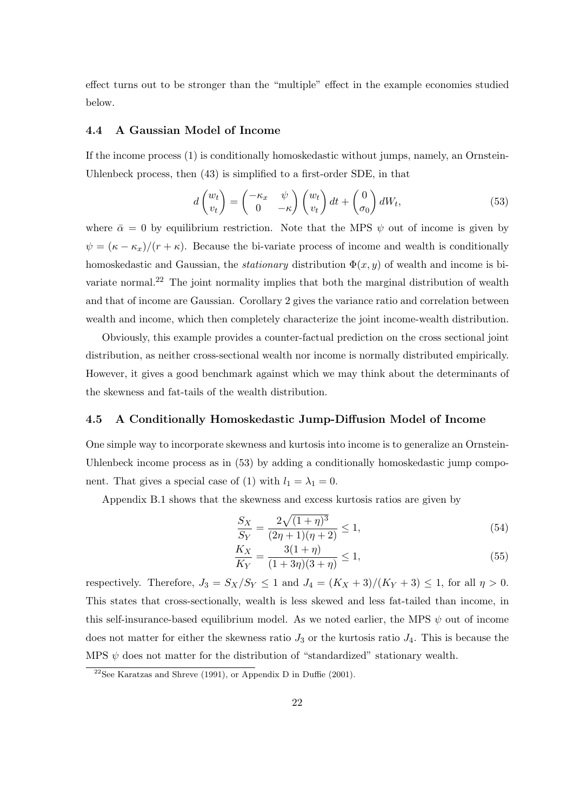effect turns out to be stronger than the "multiple" effect in the example economies studied below.

#### 4.4 A Gaussian Model of Income

If the income process (1) is conditionally homoskedastic without jumps, namely, an Ornstein-Uhlenbeck process, then (43) is simplified to a first-order SDE, in that

$$
d\begin{pmatrix} w_t \\ v_t \end{pmatrix} = \begin{pmatrix} -\kappa_x & \psi \\ 0 & -\kappa \end{pmatrix} \begin{pmatrix} w_t \\ v_t \end{pmatrix} dt + \begin{pmatrix} 0 \\ \sigma_0 \end{pmatrix} dW_t, \tag{53}
$$

where  $\bar{\alpha} = 0$  by equilibrium restriction. Note that the MPS  $\psi$  out of income is given by  $\psi = (\kappa - \kappa_x)/(r + \kappa)$ . Because the bi-variate process of income and wealth is conditionally homoskedastic and Gaussian, the *stationary* distribution  $\Phi(x, y)$  of wealth and income is bivariate normal.<sup>22</sup> The joint normality implies that both the marginal distribution of wealth and that of income are Gaussian. Corollary 2 gives the variance ratio and correlation between wealth and income, which then completely characterize the joint income-wealth distribution.

Obviously, this example provides a counter-factual prediction on the cross sectional joint distribution, as neither cross-sectional wealth nor income is normally distributed empirically. However, it gives a good benchmark against which we may think about the determinants of the skewness and fat-tails of the wealth distribution.

#### 4.5 A Conditionally Homoskedastic Jump-Diffusion Model of Income

One simple way to incorporate skewness and kurtosis into income is to generalize an Ornstein-Uhlenbeck income process as in  $(53)$  by adding a conditionally homoskedastic jump component. That gives a special case of (1) with  $l_1 = \lambda_1 = 0$ .

Appendix B.1 shows that the skewness and excess kurtosis ratios are given by

$$
\frac{S_X}{S_Y} = \frac{2\sqrt{(1+\eta)^3}}{(2\eta+1)(\eta+2)} \le 1,
$$
\n(54)

$$
\frac{K_X}{K_Y} = \frac{3(1+\eta)}{(1+3\eta)(3+\eta)} \le 1,
$$
\n(55)

respectively. Therefore,  $J_3 = S_X/S_Y \leq 1$  and  $J_4 = (K_X + 3)/(K_Y + 3) \leq 1$ , for all  $\eta > 0$ . This states that cross-sectionally, wealth is less skewed and less fat-tailed than income, in this self-insurance-based equilibrium model. As we noted earlier, the MPS  $\psi$  out of income does not matter for either the skewness ratio  $J_3$  or the kurtosis ratio  $J_4$ . This is because the MPS  $\psi$  does not matter for the distribution of "standardized" stationary wealth.

<sup>&</sup>lt;sup>22</sup>See Karatzas and Shreve (1991), or Appendix D in Duffie (2001).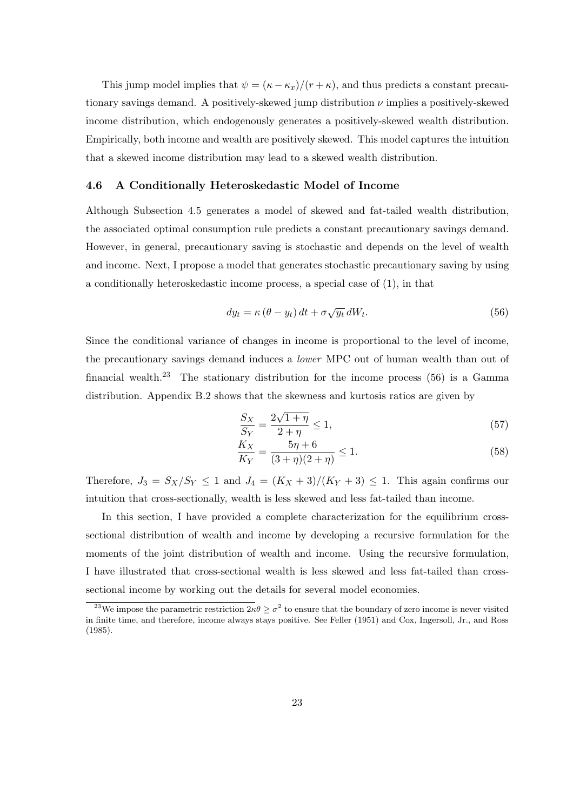This jump model implies that  $\psi = (\kappa - \kappa_x)/(r + \kappa)$ , and thus predicts a constant precautionary savings demand. A positively-skewed jump distribution  $\nu$  implies a positively-skewed income distribution, which endogenously generates a positively-skewed wealth distribution. Empirically, both income and wealth are positively skewed. This model captures the intuition that a skewed income distribution may lead to a skewed wealth distribution.

#### 4.6 A Conditionally Heteroskedastic Model of Income

Although Subsection 4.5 generates a model of skewed and fat-tailed wealth distribution, the associated optimal consumption rule predicts a constant precautionary savings demand. However, in general, precautionary saving is stochastic and depends on the level of wealth and income. Next, I propose a model that generates stochastic precautionary saving by using a conditionally heteroskedastic income process, a special case of (1), in that

$$
dy_t = \kappa (\theta - y_t) dt + \sigma \sqrt{y_t} dW_t.
$$
\n(56)

Since the conditional variance of changes in income is proportional to the level of income, the precautionary savings demand induces a lower MPC out of human wealth than out of financial wealth.<sup>23</sup> The stationary distribution for the income process  $(56)$  is a Gamma distribution. Appendix B.2 shows that the skewness and kurtosis ratios are given by

$$
\frac{S_X}{S_Y} = \frac{2\sqrt{1+\eta}}{2+\eta} \le 1,
$$
\n(57)

$$
\frac{K_X}{K_Y} = \frac{5\eta + 6}{(3 + \eta)(2 + \eta)} \le 1.
$$
\n(58)

Therefore,  $J_3 = S_X/S_Y \le 1$  and  $J_4 = (K_X + 3)/(K_Y + 3) \le 1$ . This again confirms our intuition that cross-sectionally, wealth is less skewed and less fat-tailed than income.

In this section, I have provided a complete characterization for the equilibrium crosssectional distribution of wealth and income by developing a recursive formulation for the moments of the joint distribution of wealth and income. Using the recursive formulation, I have illustrated that cross-sectional wealth is less skewed and less fat-tailed than crosssectional income by working out the details for several model economies.

<sup>&</sup>lt;sup>23</sup>We impose the parametric restriction  $2\kappa\theta \geq \sigma^2$  to ensure that the boundary of zero income is never visited in finite time, and therefore, income always stays positive. See Feller (1951) and Cox, Ingersoll, Jr., and Ross (1985).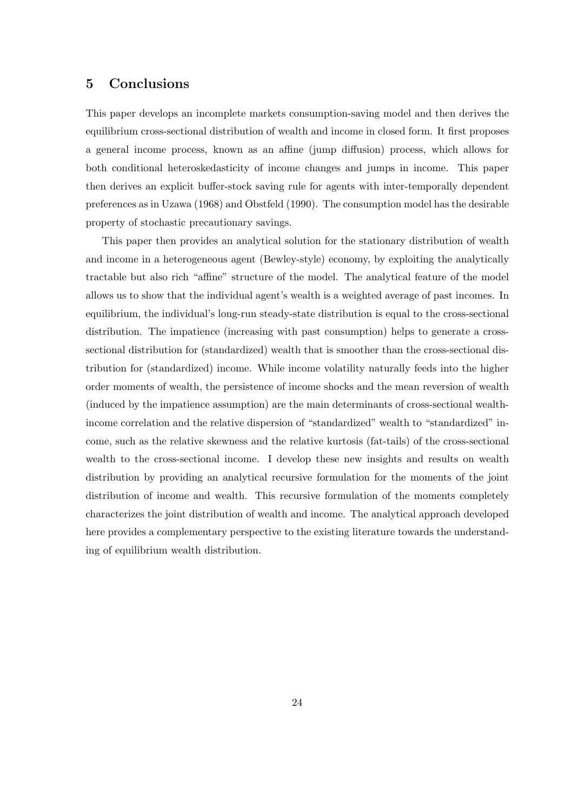# 5 Conclusions

This paper develops an incomplete markets consumption-saving model and then derives the equilibrium cross-sectional distribution of wealth and income in closed form. It first proposes a general income process, known as an affine (jump diffusion) process, which allows for both conditional heteroskedasticity of income changes and jumps in income. This paper then derives an explicit buffer-stock saving rule for agents with inter-temporally dependent preferences as in Uzawa (1968) and Obstfeld (1990). The consumption model has the desirable property of stochastic precautionary savings.

This paper then provides an analytical solution for the stationary distribution of wealth and income in a heterogeneous agent (Bewley-style) economy, by exploiting the analytically tractable but also rich "affine" structure of the model. The analytical feature of the model allows us to show that the individual agent's wealth is a weighted average of past incomes. In equilibrium, the individual's long-run steady-state distribution is equal to the cross-sectional distribution. The impatience (increasing with past consumption) helps to generate a crosssectional distribution for (standardized) wealth that is smoother than the cross-sectional distribution for (standardized) income. While income volatility naturally feeds into the higher order moments of wealth, the persistence of income shocks and the mean reversion of wealth (induced by the impatience assumption) are the main determinants of cross-sectional wealthincome correlation and the relative dispersion of "standardized" wealth to "standardized" income, such as the relative skewness and the relative kurtosis (fat-tails) of the cross-sectional wealth to the cross-sectional income. I develop these new insights and results on wealth distribution by providing an analytical recursive formulation for the moments of the joint distribution of income and wealth. This recursive formulation of the moments completely characterizes the joint distribution of wealth and income. The analytical approach developed here provides a complementary perspective to the existing literature towards the understanding of equilibrium wealth distribution.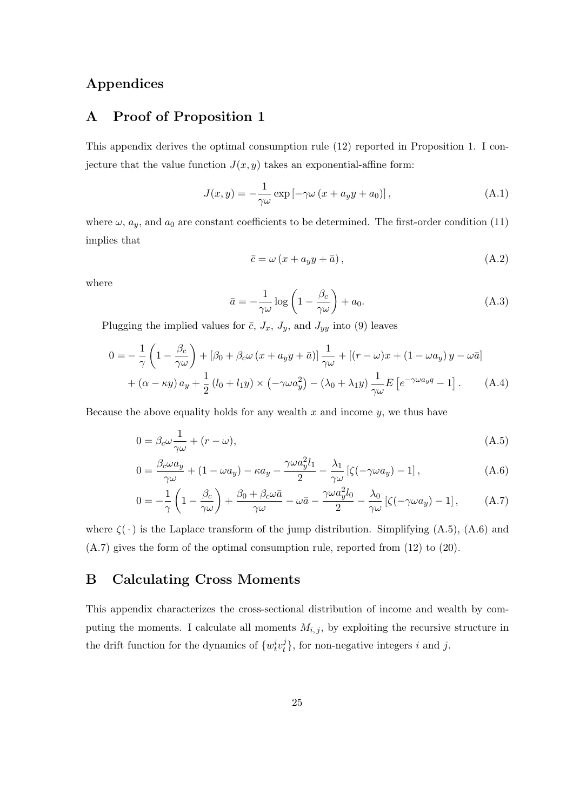# Appendices

### A Proof of Proposition 1

This appendix derives the optimal consumption rule (12) reported in Proposition 1. I conjecture that the value function  $J(x, y)$  takes an exponential-affine form:

$$
J(x,y) = -\frac{1}{\gamma \omega} \exp \left[ -\gamma \omega \left( x + a_y y + a_0 \right) \right], \tag{A.1}
$$

where  $\omega$ ,  $a_y$ , and  $a_0$  are constant coefficients to be determined. The first-order condition (11) implies that

$$
\bar{c} = \omega \left( x + a_y y + \bar{a} \right),\tag{A.2}
$$

where

$$
\bar{a} = -\frac{1}{\gamma \omega} \log \left( 1 - \frac{\beta_c}{\gamma \omega} \right) + a_0.
$$
\n(A.3)

Plugging the implied values for  $\bar{c}$ ,  $J_x$ ,  $J_y$ , and  $J_{yy}$  into (9) leaves

$$
0 = -\frac{1}{\gamma} \left( 1 - \frac{\beta_c}{\gamma \omega} \right) + [\beta_0 + \beta_c \omega (x + a_y y + \bar{a})] \frac{1}{\gamma \omega} + [(r - \omega)x + (1 - \omega a_y) y - \omega \bar{a}]
$$
  
+  $(\alpha - \kappa y) a_y + \frac{1}{2} (l_0 + l_1 y) \times (-\gamma \omega a_y^2) - (\lambda_0 + \lambda_1 y) \frac{1}{\gamma \omega} E \left[ e^{-\gamma \omega a_y q} - 1 \right].$  (A.4)

Because the above equality holds for any wealth  $x$  and income  $y$ , we thus have

$$
0 = \beta_c \omega \frac{1}{\gamma \omega} + (r - \omega), \tag{A.5}
$$

$$
0 = \frac{\beta_c \omega a_y}{\gamma \omega} + (1 - \omega a_y) - \kappa a_y - \frac{\gamma \omega a_y^2 l_1}{2} - \frac{\lambda_1}{\gamma \omega} \left[ \zeta(-\gamma \omega a_y) - 1 \right],\tag{A.6}
$$

$$
0 = -\frac{1}{\gamma} \left( 1 - \frac{\beta_c}{\gamma \omega} \right) + \frac{\beta_0 + \beta_c \omega \bar{a}}{\gamma \omega} - \omega \bar{a} - \frac{\gamma \omega a_y^2 l_0}{2} - \frac{\lambda_0}{\gamma \omega} \left[ \zeta(-\gamma \omega a_y) - 1 \right], \tag{A.7}
$$

where  $\zeta(\cdot)$  is the Laplace transform of the jump distribution. Simplifying (A.5), (A.6) and (A.7) gives the form of the optimal consumption rule, reported from (12) to (20).

### B Calculating Cross Moments

This appendix characterizes the cross-sectional distribution of income and wealth by computing the moments. I calculate all moments  $M_{i,j}$ , by exploiting the recursive structure in the drift function for the dynamics of  $\{w_t^i v_t^j\}$  $t_i^j$ , for non-negative integers i and j.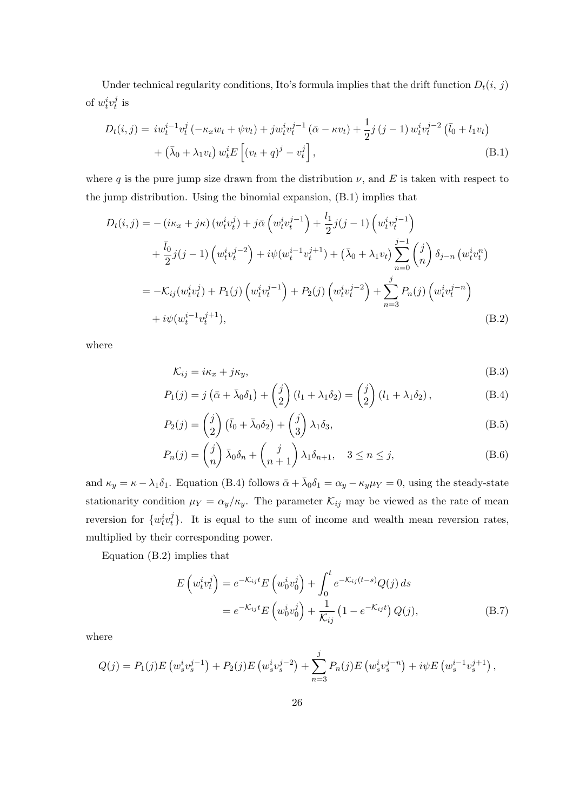Under technical regularity conditions, Ito's formula implies that the drift function  $D_t(i, j)$ of  $w_t^i v_t^j$  $\frac{\jmath}{t}$  is

$$
D_{t}(i, j) = iw_{t}^{i-1}v_{t}^{j}(-\kappa_{x}w_{t} + \psi v_{t}) + jw_{t}^{i}v_{t}^{j-1}(\bar{\alpha} - \kappa v_{t}) + \frac{1}{2}j(j-1)w_{t}^{i}v_{t}^{j-2}(\bar{l}_{0} + l_{1}v_{t}) + (\bar{\lambda}_{0} + \lambda_{1}v_{t})w_{t}^{i}E\left[(v_{t} + q)^{j} - v_{t}^{j}\right],
$$
\n(B.1)

where q is the pure jump size drawn from the distribution  $\nu$ , and E is taken with respect to the jump distribution. Using the binomial expansion, (B.1) implies that

$$
D_{t}(i, j) = - (i\kappa_{x} + j\kappa) (w_{t}^{i}v_{t}^{j}) + j\bar{\alpha} (w_{t}^{i}v_{t}^{j-1}) + \frac{l_{1}}{2}j(j-1) (w_{t}^{i}v_{t}^{j-1})
$$
  
+  $\frac{\bar{l}_{0}}{2}j(j-1) (w_{t}^{i}v_{t}^{j-2}) + i\psi(w_{t}^{i-1}v_{t}^{j+1}) + (\bar{\lambda}_{0} + \lambda_{1}v_{t}) \sum_{n=0}^{j-1} {j \choose n} \delta_{j-n} (w_{t}^{i}v_{t}^{n})$   
=  $-\mathcal{K}_{ij}(w_{t}^{i}v_{t}^{j}) + P_{1}(j) (w_{t}^{i}v_{t}^{j-1}) + P_{2}(j) (w_{t}^{i}v_{t}^{j-2}) + \sum_{n=3}^{j} P_{n}(j) (w_{t}^{i}v_{t}^{j-n})$   
+  $i\psi(w_{t}^{i-1}v_{t}^{j+1}),$  (B.2)

where

$$
\mathcal{K}_{ij} = i\kappa_x + j\kappa_y,\tag{B.3}
$$

$$
P_1(j) = j\left(\bar{\alpha} + \bar{\lambda}_0 \delta_1\right) + \begin{pmatrix} j \\ 2 \end{pmatrix} (l_1 + \lambda_1 \delta_2) = \begin{pmatrix} j \\ 2 \end{pmatrix} (l_1 + \lambda_1 \delta_2), \tag{B.4}
$$

$$
P_2(j) = \binom{j}{2} \left(\bar{l}_0 + \bar{\lambda}_0 \delta_2\right) + \binom{j}{3} \lambda_1 \delta_3,\tag{B.5}
$$

$$
P_n(j) = \binom{j}{n} \bar{\lambda}_0 \delta_n + \binom{j}{n+1} \lambda_1 \delta_{n+1}, \quad 3 \le n \le j,
$$
 (B.6)

and  $\kappa_y = \kappa - \lambda_1 \delta_1$ . Equation (B.4) follows  $\bar{\alpha} + \bar{\lambda}_0 \delta_1 = \alpha_y - \kappa_y \mu_Y = 0$ , using the steady-state stationarity condition  $\mu_Y = \alpha_y/\kappa_y$ . The parameter  $\mathcal{K}_{ij}$  may be viewed as the rate of mean reversion for  $\{w_t^i v_t^j\}$  $t<sub>t</sub><sup>j</sup>$ . It is equal to the sum of income and wealth mean reversion rates, multiplied by their corresponding power.

Equation (B.2) implies that

$$
E\left(w_i^i v_t^j\right) = e^{-\mathcal{K}_{ij}t} E\left(w_0^i v_0^j\right) + \int_0^t e^{-\mathcal{K}_{ij}(t-s)} Q(j) ds
$$
  
= 
$$
e^{-\mathcal{K}_{ij}t} E\left(w_0^i v_0^j\right) + \frac{1}{\mathcal{K}_{ij}} \left(1 - e^{-\mathcal{K}_{ij}t}\right) Q(j),
$$
 (B.7)

where

$$
Q(j) = P_1(j)E\left(w_s^iv_s^{j-1}\right) + P_2(j)E\left(w_s^iv_s^{j-2}\right) + \sum_{n=3}^j P_n(j)E\left(w_s^iv_s^{j-n}\right) + i\psi E\left(w_s^{i-1}v_s^{j+1}\right),
$$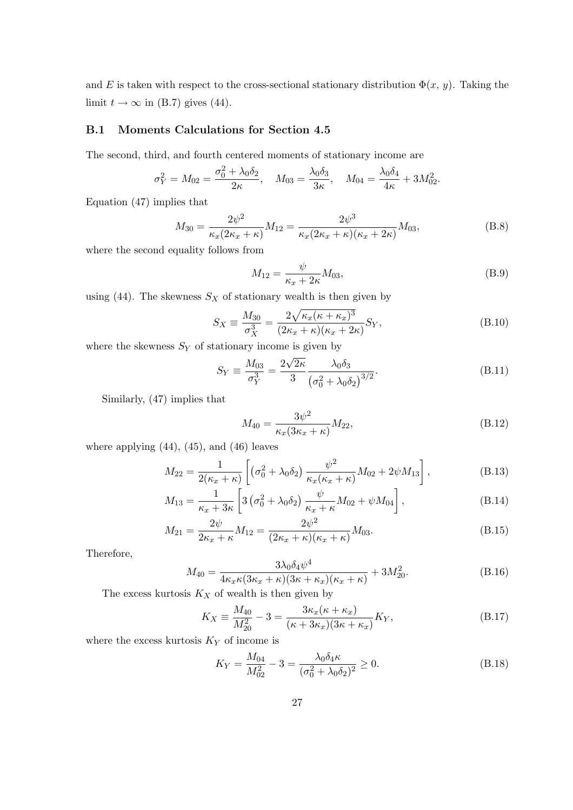and E is taken with respect to the cross-sectional stationary distribution  $\Phi(x, y)$ . Taking the limit  $t \to \infty$  in (B.7) gives (44).

### B.1 Moments Calculations for Section 4.5

The second, third, and fourth centered moments of stationary income are

$$
\sigma_Y^2 = M_{02} = \frac{\sigma_0^2 + \lambda_0 \delta_2}{2\kappa}, \quad M_{03} = \frac{\lambda_0 \delta_3}{3\kappa}, \quad M_{04} = \frac{\lambda_0 \delta_4}{4\kappa} + 3M_{02}^2.
$$

Equation (47) implies that

$$
M_{30} = \frac{2\psi^2}{\kappa_x (2\kappa_x + \kappa)} M_{12} = \frac{2\psi^3}{\kappa_x (2\kappa_x + \kappa)(\kappa_x + 2\kappa)} M_{03},
$$
(B.8)

where the second equality follows from

$$
M_{12} = \frac{\psi}{\kappa_x + 2\kappa} M_{03},
$$
 (B.9)

using (44). The skewness  $S_X$  of stationary wealth is then given by

$$
S_X \equiv \frac{M_{30}}{\sigma_X^3} = \frac{2\sqrt{\kappa_x(\kappa + \kappa_x)^3}}{(2\kappa_x + \kappa)(\kappa_x + 2\kappa)} S_Y,
$$
\n(B.10)

where the skewness  $S_Y$  of stationary income is given by

$$
S_Y \equiv \frac{M_{03}}{\sigma_Y^3} = \frac{2\sqrt{2\kappa}}{3} \frac{\lambda_0 \delta_3}{\left(\sigma_0^2 + \lambda_0 \delta_2\right)^{3/2}}.
$$
 (B.11)

Similarly, (47) implies that

$$
M_{40} = \frac{3\psi^2}{\kappa_x (3\kappa_x + \kappa)} M_{22},\tag{B.12}
$$

where applying  $(44)$ ,  $(45)$ , and  $(46)$  leaves

$$
M_{22} = \frac{1}{2(\kappa_x + \kappa)} \left[ \left( \sigma_0^2 + \lambda_0 \delta_2 \right) \frac{\psi^2}{\kappa_x(\kappa_x + \kappa)} M_{02} + 2\psi M_{13} \right],
$$
 (B.13)

$$
M_{13} = \frac{1}{\kappa_x + 3\kappa} \left[ 3 \left( \sigma_0^2 + \lambda_0 \delta_2 \right) \frac{\psi}{\kappa_x + \kappa} M_{02} + \psi M_{04} \right],
$$
 (B.14)

$$
M_{21} = \frac{2\psi}{2\kappa_x + \kappa} M_{12} = \frac{2\psi^2}{(2\kappa_x + \kappa)(\kappa_x + \kappa)} M_{03}.
$$
 (B.15)

Therefore,

$$
M_{40} = \frac{3\lambda_0 \delta_4 \psi^4}{4\kappa_x \kappa (3\kappa_x + \kappa)(3\kappa + \kappa_x)(\kappa_x + \kappa)} + 3M_{20}^2.
$$
 (B.16)

The excess kurtosis  $K_X$  of wealth is then given by

$$
K_X \equiv \frac{M_{40}}{M_{20}^2} - 3 = \frac{3\kappa_x(\kappa + \kappa_x)}{(\kappa + 3\kappa_x)(3\kappa + \kappa_x)} K_Y,
$$
\n(B.17)

where the excess kurtosis  $K_Y$  of income is

$$
K_Y = \frac{M_{04}}{M_{02}^2} - 3 = \frac{\lambda_0 \delta_4 \kappa}{(\sigma_0^2 + \lambda_0 \delta_2)^2} \ge 0.
$$
 (B.18)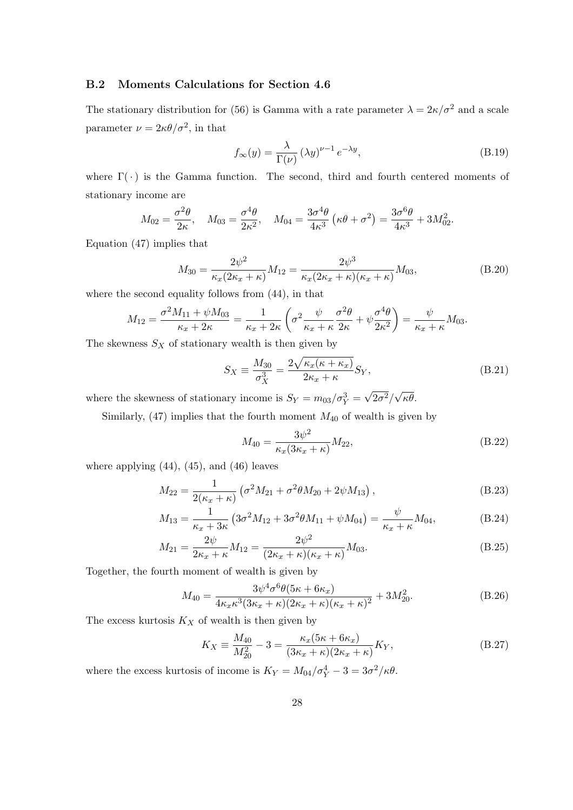### B.2 Moments Calculations for Section 4.6

The stationary distribution for (56) is Gamma with a rate parameter  $\lambda = 2\kappa/\sigma^2$  and a scale parameter  $\nu = 2\kappa\theta/\sigma^2$ , in that

$$
f_{\infty}(y) = \frac{\lambda}{\Gamma(\nu)} (\lambda y)^{\nu - 1} e^{-\lambda y},
$$
\n(B.19)

where  $\Gamma(\cdot)$  is the Gamma function. The second, third and fourth centered moments of stationary income are

$$
M_{02} = \frac{\sigma^2 \theta}{2\kappa}, \quad M_{03} = \frac{\sigma^4 \theta}{2\kappa^2}, \quad M_{04} = \frac{3\sigma^4 \theta}{4\kappa^3} \left(\kappa \theta + \sigma^2\right) = \frac{3\sigma^6 \theta}{4\kappa^3} + 3M_{02}^2.
$$

Equation (47) implies that

$$
M_{30} = \frac{2\psi^2}{\kappa_x (2\kappa_x + \kappa)} M_{12} = \frac{2\psi^3}{\kappa_x (2\kappa_x + \kappa)(\kappa_x + \kappa)} M_{03},
$$
(B.20)

where the second equality follows from (44), in that

$$
M_{12} = \frac{\sigma^2 M_{11} + \psi M_{03}}{\kappa_x + 2\kappa} = \frac{1}{\kappa_x + 2\kappa} \left( \sigma^2 \frac{\psi}{\kappa_x + \kappa} \frac{\sigma^2 \theta}{2\kappa} + \psi \frac{\sigma^4 \theta}{2\kappa^2} \right) = \frac{\psi}{\kappa_x + \kappa} M_{03}.
$$

The skewness  $S_X$  of stationary wealth is then given by

$$
S_X \equiv \frac{M_{30}}{\sigma_X^3} = \frac{2\sqrt{\kappa_x(\kappa + \kappa_x)}}{2\kappa_x + \kappa} S_Y,
$$
\n(B.21)

where the skewness of stationary income is  $S_Y = m_{03}/\sigma_Y^3 =$  $\overline{2\sigma^2}/$ κθ.

Similarly,  $(47)$  implies that the fourth moment  $M_{40}$  of wealth is given by

$$
M_{40} = \frac{3\psi^2}{\kappa_x (3\kappa_x + \kappa)} M_{22},
$$
\n(B.22)

where applying  $(44)$ ,  $(45)$ , and  $(46)$  leaves

$$
M_{22} = \frac{1}{2(\kappa_x + \kappa)} \left( \sigma^2 M_{21} + \sigma^2 \theta M_{20} + 2\psi M_{13} \right), \tag{B.23}
$$

$$
M_{13} = \frac{1}{\kappa_x + 3\kappa} \left( 3\sigma^2 M_{12} + 3\sigma^2 \theta M_{11} + \psi M_{04} \right) = \frac{\psi}{\kappa_x + \kappa} M_{04},\tag{B.24}
$$

$$
M_{21} = \frac{2\psi}{2\kappa_x + \kappa} M_{12} = \frac{2\psi^2}{(2\kappa_x + \kappa)(\kappa_x + \kappa)} M_{03}.
$$
 (B.25)

Together, the fourth moment of wealth is given by

$$
M_{40} = \frac{3\psi^4 \sigma^6 \theta (5\kappa + 6\kappa_x)}{4\kappa_x \kappa^3 (3\kappa_x + \kappa)(2\kappa_x + \kappa)(\kappa_x + \kappa)^2} + 3M_{20}^2.
$$
 (B.26)

The excess kurtosis  $K_X$  of wealth is then given by

$$
K_X \equiv \frac{M_{40}}{M_{20}^2} - 3 = \frac{\kappa_x (5\kappa + 6\kappa_x)}{(3\kappa_x + \kappa)(2\kappa_x + \kappa)} K_Y,
$$
\n(B.27)

where the excess kurtosis of income is  $K_Y = M_{04}/\sigma_Y^4 - 3 = 3\sigma^2/\kappa\theta$ .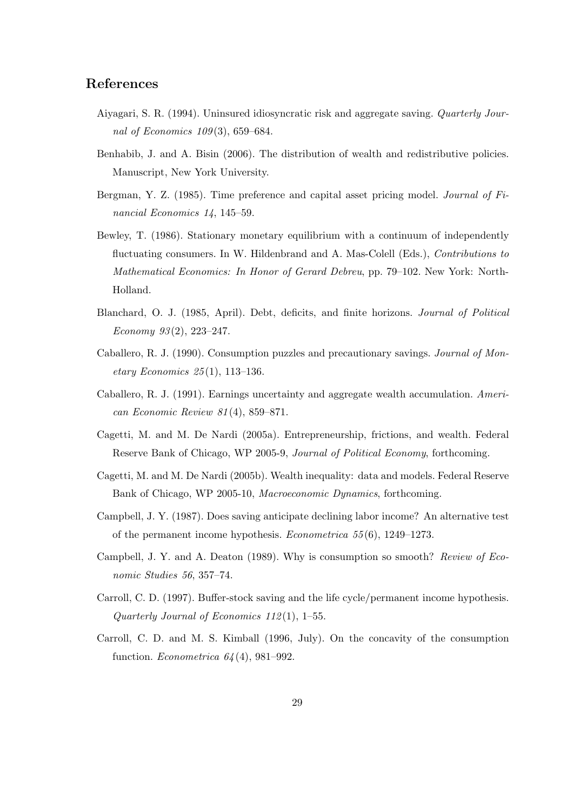### References

- Aiyagari, S. R. (1994). Uninsured idiosyncratic risk and aggregate saving. Quarterly Journal of Economics 109 (3), 659–684.
- Benhabib, J. and A. Bisin (2006). The distribution of wealth and redistributive policies. Manuscript, New York University.
- Bergman, Y. Z. (1985). Time preference and capital asset pricing model. *Journal of Fi*nancial Economics 14, 145–59.
- Bewley, T. (1986). Stationary monetary equilibrium with a continuum of independently fluctuating consumers. In W. Hildenbrand and A. Mas-Colell (Eds.), Contributions to Mathematical Economics: In Honor of Gerard Debreu, pp. 79–102. New York: North-Holland.
- Blanchard, O. J. (1985, April). Debt, deficits, and finite horizons. Journal of Political Economy 93 (2), 223–247.
- Caballero, R. J. (1990). Consumption puzzles and precautionary savings. Journal of Mon $etary Economics 25(1), 113-136.$
- Caballero, R. J. (1991). Earnings uncertainty and aggregate wealth accumulation. American Economic Review 81 (4), 859–871.
- Cagetti, M. and M. De Nardi (2005a). Entrepreneurship, frictions, and wealth. Federal Reserve Bank of Chicago, WP 2005-9, Journal of Political Economy, forthcoming.
- Cagetti, M. and M. De Nardi (2005b). Wealth inequality: data and models. Federal Reserve Bank of Chicago, WP 2005-10, Macroeconomic Dynamics, forthcoming.
- Campbell, J. Y. (1987). Does saving anticipate declining labor income? An alternative test of the permanent income hypothesis. Econometrica 55 (6), 1249–1273.
- Campbell, J. Y. and A. Deaton (1989). Why is consumption so smooth? Review of Economic Studies 56, 357–74.
- Carroll, C. D. (1997). Buffer-stock saving and the life cycle/permanent income hypothesis. Quarterly Journal of Economics 112(1), 1–55.
- Carroll, C. D. and M. S. Kimball (1996, July). On the concavity of the consumption function. Econometrica  $64(4)$ , 981-992.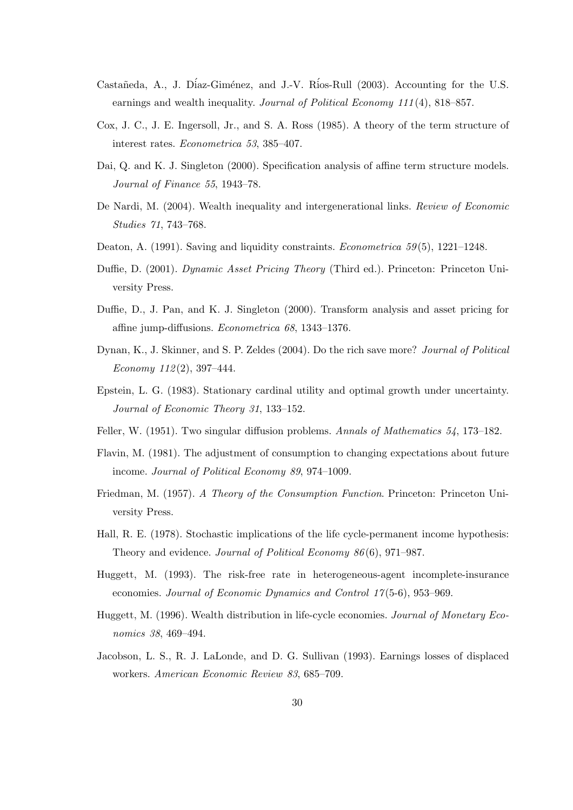- Castañeda, A., J. Díaz-Giménez, and J.-V. Ríos-Rull (2003). Accounting for the U.S. earnings and wealth inequality. Journal of Political Economy 111(4), 818–857.
- Cox, J. C., J. E. Ingersoll, Jr., and S. A. Ross (1985). A theory of the term structure of interest rates. Econometrica 53, 385–407.
- Dai, Q. and K. J. Singleton (2000). Specification analysis of affine term structure models. Journal of Finance 55, 1943–78.
- De Nardi, M. (2004). Wealth inequality and intergenerational links. Review of Economic Studies 71, 743–768.
- Deaton, A. (1991). Saving and liquidity constraints. *Econometrica* 59(5), 1221–1248.
- Duffie, D. (2001). Dynamic Asset Pricing Theory (Third ed.). Princeton: Princeton University Press.
- Duffie, D., J. Pan, and K. J. Singleton (2000). Transform analysis and asset pricing for affine jump-diffusions. Econometrica 68, 1343–1376.
- Dynan, K., J. Skinner, and S. P. Zeldes (2004). Do the rich save more? Journal of Political Economy  $112(2)$ , 397-444.
- Epstein, L. G. (1983). Stationary cardinal utility and optimal growth under uncertainty. Journal of Economic Theory 31, 133–152.
- Feller, W. (1951). Two singular diffusion problems. Annals of Mathematics 54, 173–182.
- Flavin, M. (1981). The adjustment of consumption to changing expectations about future income. Journal of Political Economy 89, 974–1009.
- Friedman, M. (1957). A Theory of the Consumption Function. Princeton: Princeton University Press.
- Hall, R. E. (1978). Stochastic implications of the life cycle-permanent income hypothesis: Theory and evidence. Journal of Political Economy 86 (6), 971–987.
- Huggett, M. (1993). The risk-free rate in heterogeneous-agent incomplete-insurance economies. Journal of Economic Dynamics and Control 17 (5-6), 953–969.
- Huggett, M. (1996). Wealth distribution in life-cycle economies. Journal of Monetary Economics 38, 469–494.
- Jacobson, L. S., R. J. LaLonde, and D. G. Sullivan (1993). Earnings losses of displaced workers. American Economic Review 83, 685–709.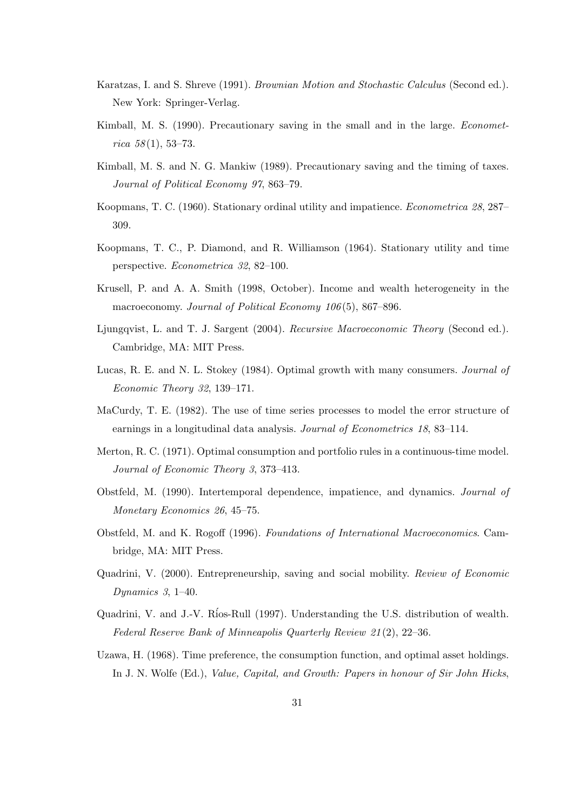- Karatzas, I. and S. Shreve (1991). Brownian Motion and Stochastic Calculus (Second ed.). New York: Springer-Verlag.
- Kimball, M. S. (1990). Precautionary saving in the small and in the large. *Economet* $rica 58(1), 53-73.$
- Kimball, M. S. and N. G. Mankiw (1989). Precautionary saving and the timing of taxes. Journal of Political Economy 97, 863–79.
- Koopmans, T. C. (1960). Stationary ordinal utility and impatience. Econometrica 28, 287– 309.
- Koopmans, T. C., P. Diamond, and R. Williamson (1964). Stationary utility and time perspective. Econometrica 32, 82–100.
- Krusell, P. and A. A. Smith (1998, October). Income and wealth heterogeneity in the macroeconomy. Journal of Political Economy 106(5), 867–896.
- Ljungqvist, L. and T. J. Sargent (2004). Recursive Macroeconomic Theory (Second ed.). Cambridge, MA: MIT Press.
- Lucas, R. E. and N. L. Stokey (1984). Optimal growth with many consumers. Journal of Economic Theory 32, 139–171.
- MaCurdy, T. E. (1982). The use of time series processes to model the error structure of earnings in a longitudinal data analysis. Journal of Econometrics 18, 83–114.
- Merton, R. C. (1971). Optimal consumption and portfolio rules in a continuous-time model. Journal of Economic Theory 3, 373–413.
- Obstfeld, M. (1990). Intertemporal dependence, impatience, and dynamics. Journal of Monetary Economics 26, 45–75.
- Obstfeld, M. and K. Rogoff (1996). Foundations of International Macroeconomics. Cambridge, MA: MIT Press.
- Quadrini, V. (2000). Entrepreneurship, saving and social mobility. Review of Economic Dynamics 3, 1–40.
- Quadrini, V. and J.-V. R´ios-Rull (1997). Understanding the U.S. distribution of wealth. Federal Reserve Bank of Minneapolis Quarterly Review 21 (2), 22–36.
- Uzawa, H. (1968). Time preference, the consumption function, and optimal asset holdings. In J. N. Wolfe (Ed.), Value, Capital, and Growth: Papers in honour of Sir John Hicks,